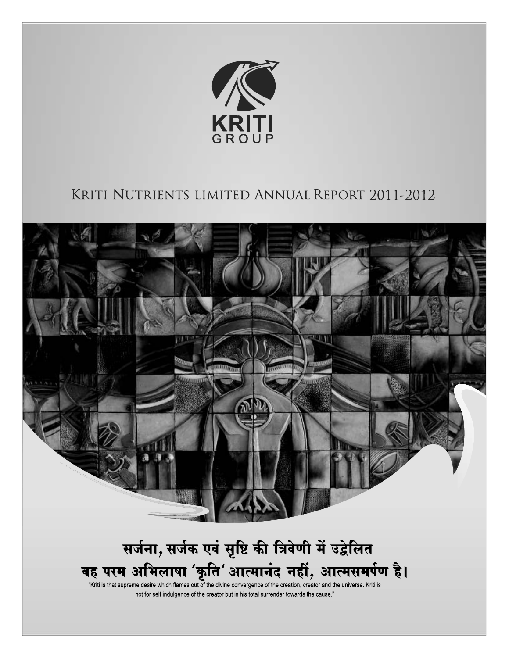

# KRITI NUTRIENTS LIMITED ANNUAL REPORT 2011-2012



"Kriti is that supreme desire which flames out of the divine convergence of the creation, creator and the universe. Kriti is not for self indulgence of the creator but is his total surrender towards the cause."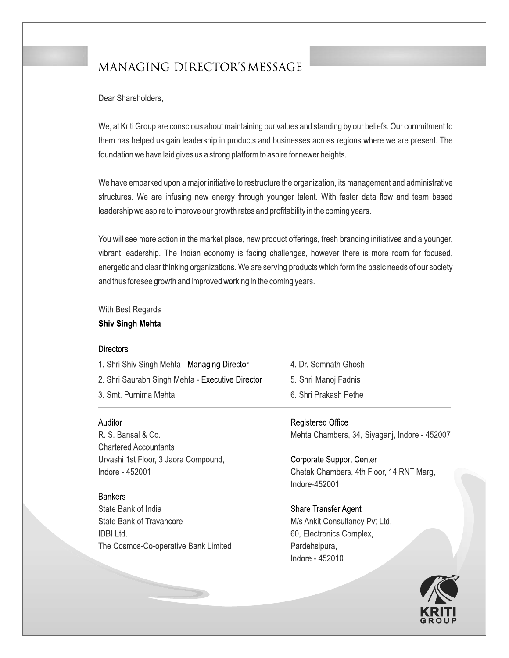# MANAGING DIRECTOR'S MESSAGE

Dear Shareholders,

We, at Kriti Group are conscious about maintaining our values and standing by our beliefs. Our commitment to them has helped us gain leadership in products and businesses across regions where we are present. The foundation we have laid gives us a strong platform to aspire for newer heights.

We have embarked upon a major initiative to restructure the organization, its management and administrative structures. We are infusing new energy through younger talent. With faster data flow and team based leadership we aspire to improve our growth rates and profitability in the coming years.

You will see more action in the market place, new product offerings, fresh branding initiatives and a younger, vibrant leadership. The Indian economy is facing challenges, however there is more room for focused, energetic and clear thinking organizations. We are serving products which form the basic needs of our society and thus foresee growth and improved working in the coming years.

With Best Regards

## **Shiv Singh Mehta**

### **Directors**

1. Shri Shiv Singh Mehta - Managing Director 2. Shri Saurabh Singh Mehta - Executive Director 3. Smt. Purnima Mehta

Auditor

R. S. Bansal & Co. **Chartered Accountants** Urvashi 1st Floor, 3 Jaora Compound, Indore - 452001

**Bankers** 

State Bank of India State Bank of Travancore **IDBI Ltd.** The Cosmos-Co-operative Bank Limited

- 4. Dr. Somnath Ghosh
- 5. Shri Manoj Fadnis
- 6. Shri Prakash Pethe

**Registered Office** Mehta Chambers, 34, Siyaganj, Indore - 452007

**Corporate Support Center** Chetak Chambers, 4th Floor, 14 RNT Marg, Indore-452001

**Share Transfer Agent** M/s Ankit Consultancy Pvt Ltd. 60, Electronics Complex, Pardehsipura, Indore - 452010

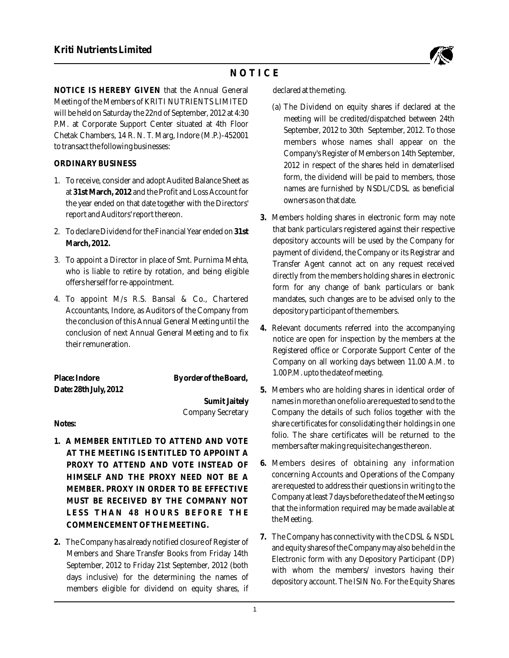

# **N O T I C E**

**NOTICE IS HEREBY GIVEN that the Annual General declared at the meting.** Meeting of the Members of KRITI NUTRIENTS LIMITED<br>will be held on Saturday the 22nd of September, 2012 at 4:30 (a) The Dividend on equity shares if declared at<br>meeting will be credited/dispatched between 24th P.M. at Corporate Support Center situated at 4th Floor<br>
September, 2012 to 30th September, 2012. To those Chetak Chambers, 14 R. N. T. Marg, Indore (M.P.)-452001 to transact the following businesses:

- at 31st March, 2012 and the Profit and Loss Account for the year ended on that date together with the Directors'
- 
- 3. To appoint a Director in place of Smt. Purnima Mehta,<br>who is liable to retire by rotation, and being eligible<br>in the formula formula deligible
- Accountants, Indore, as Auditors of the Company from depository participant of the members. the conclusion of this Annual General Meeting until the conclusion of next Annual General Meeting and to fix

| Place: Indore         | By order of the Board |
|-----------------------|-----------------------|
| Date: 28th July, 2012 |                       |
|                       |                       |

- **1. A MEMBER ENTITLED TO ATTEND AND VOTE AT THE MEETING IS ENTITLED TO APPOINT A that the information represents the matter matter matter matter matter matter matter matter matter matter matter matter matter matter matter matter matter matter matter matter matter matter matter matter matter matter mat**  $COMMENCEMENT OF THE MEETING.$
- members eligible for dividend on equity shares, if

- members whose names shall appear on the Company's Register of Members on 14th September, **ORDINARY BUSINESS** 2012 in respect of the shares held in dematerlised 1. To receive, consider and adopt Audited Balance Sheet as form, the dividend will be paid to members, those 1. To receive, consider and adopt Audited Balance Sheet as funnished by NSDL/CDSL as beneficial owners as on that date.
- report and Auditors' report thereon. **3.** Members holding shares in electronic form may note that bank particulars registered against their respective 2. To declare Dividend for the Financial Year ended on **31st**  March, 2012. **March, 2012. Provided** a counts will be used by the Company for payment of dividend, the Company or its Registrar and who is hable to retire by rotation, and being eighble directly from the members holding shares in electronic offers herself for re-appointment. form for any change of bank particulars or bank 4. To appoint M/s R.S. Bansal & Co., Chartered mandates, such changes are to be advised only to the
	- **4.** Relevant documents referred into the accompanying notice are open for inspection by the members at the their remuneration. Registered office or Corporate Support Center of the Company on all working days between 11.00 A.M. to 1.00 P.M. upto the date of meeting.
- **Date: 28th July, 2012 5.** Members who are holding shares in identical order of **Sumit Jaitely** names in more than one folio are requested to send to the Company Secretary Company the details of such folios together with the **Notes:** share certificates for consolidating their holdings in one folio. The share certificates will be returned to the members after making requisite changes thereon.
	- **PROXY TO ATTEND AND VOTE INSTEAD OF 6. Members desires of obtaining any information<br>HIMSELE AND THE PROXY NEED NOT BE A** concerning Accounts and Operations of the Company **HIMSELF AND THE PROXY NEED NOT BE A** concerning Accounts and Operations of the Company<br>**ELITE AND THE PROXY IN OPDED TO BE EFFECTIVE** are requested to address their questions in writing to the MEMBER. PROXY IN ORDER TO BE EFFECTIVE are requested to address their questions in writing to the **Media**<br>MUST, BE BECEIVED BY THE COMBANY NOT Company at least 7 days before the date of the Meeting so MUST BE RECEIVED BY THE COMPANY NOT<br>LESS FILLEN 10 HOUDS BEFORE THE THE THE SOLUTE THAT **Has that the information required may be made available at**
- **7.** The Company has connectivity with the CDSL & NSDL **2.** The Company has already notified closure of Register of Members and Share Transfer Books from Friday 14th<br>
Electronic form with any Depository Participant (DP)<br>
September, 2012 to Friday 21st September, 2012 (both<br>
enter the members of investors begins their September, 2012 to Friday 21st September, 2012 (both with whom the members/ investors having their<br>days inclusive) for the determining the names of density reserved The EDMAL Factor Chance depository account. The ISIN No. For the Equity Shares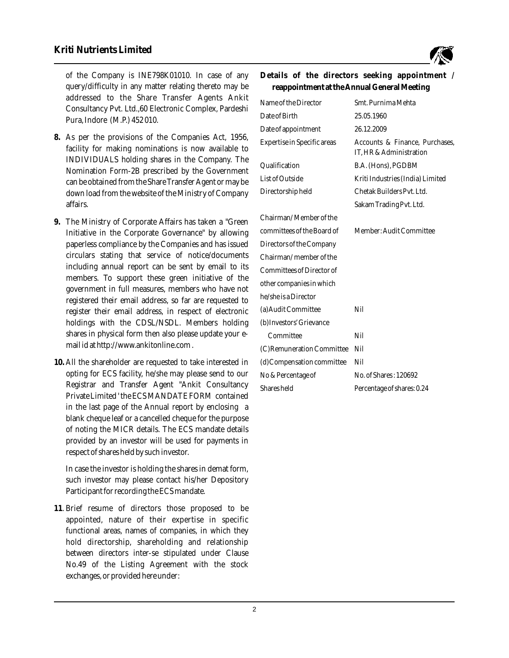

of the Company is INE798K01010. In case of any **Details of the directors seeking appointment /** query/difficulty in any matter relating thereto may be **reappointment at the Annual General Meeting** addressed to the Share Transfer Agents Ankit Consultancy Pvt. Ltd.,60 Electronic Complex, Pardeshi Pura, Indore (M.P.) 452 010.

- 8. As per the provisions of the Companies Act, 1956, facility for making nominations is now available to INDIVIDUALS holding shares in the Company. The Nomination Form-2B prescribed by the Government can be obtained from the Share Transfer Agent or may be down load from the website of the Ministry of Company Directorship held Chetak Builders Pvt. Ltd. affairs. Sakam Trading Pvt. Ltd.
- 9. The Ministry of Corporate Affairs has taken a "Green Initiative in the Corporate Governance" by allowing paperless compliance by the Companies and has issued circulars stating that service of notice/documents including annual report can be sent by email to its members. To support these green initiative of the government in full measures, members who have not registered their email address, so far are requested to register their email address, in respect of electronic holdings with the CDSL/NSDL. Members holding shares in physical form then also please update your email id at http://www.ankitonline.com .
- 10. All the shareholder are requested to take interested in opting for ECS facility, he/she may please send to our Registrar and Transfer Agent "Ankit Consultancy Private Limited ' the ECS MANDATE FORM contained in the last page of the Annual report by enclosing a blank cheque leaf or a cancelled cheque for the purpose of noting the MICR details. The ECS mandate details provided by an investor will be used for payments in respect of shares held by such investor.

In case the investor is holding the shares in demat form, such investor may please contact his/her Depository Participant for recording the ECS mandate.

**11**. Brief resume of directors those proposed to be appointed, nature of their expertise in specific functional areas, names of companies, in which they hold directorship, shareholding and relationship between directors inter-se stipulated under Clause No.49 of the Listing Agreement with the stock exchanges, or provided here under:

| Name of the Director        | Smt. Purnima Mehta                                       |
|-----------------------------|----------------------------------------------------------|
| Date of Birth               | 25.05.1960                                               |
| Date of appointment         | 26.12.2009                                               |
| Expertise in Specific areas | Accounts & Finance, Purchases<br>IT, HR & Administration |
| Qualification               | B.A. (Hons), PGDBM                                       |
| <b>List of Outside</b>      | Kriti Industries (India) Limited                         |
| Directorship held           | Chetak Builders Pvt. Ltd.                                |
|                             | Sakam Trading Pvt. Ltd.                                  |
| Chairman/Member of the      |                                                          |
| committees of the Board of  | Member: Audit Committee                                  |
| Directors of the Company    |                                                          |
| Chairman/member of the      |                                                          |
| Committees of Director of   |                                                          |
| other companies in which    |                                                          |
| he/she is a Director        |                                                          |
| (a) Audit Committee         | Nil                                                      |
| (b) Investors' Grievance    |                                                          |
| Committee                   | Nil                                                      |
| (C) Remuneration Committee  | Nil                                                      |
| (d) Compensation committee  | Nil                                                      |
| No & Percentage of          | No. of Shares: 120692                                    |
| Shares held                 | Percentage of shares: 0.24                               |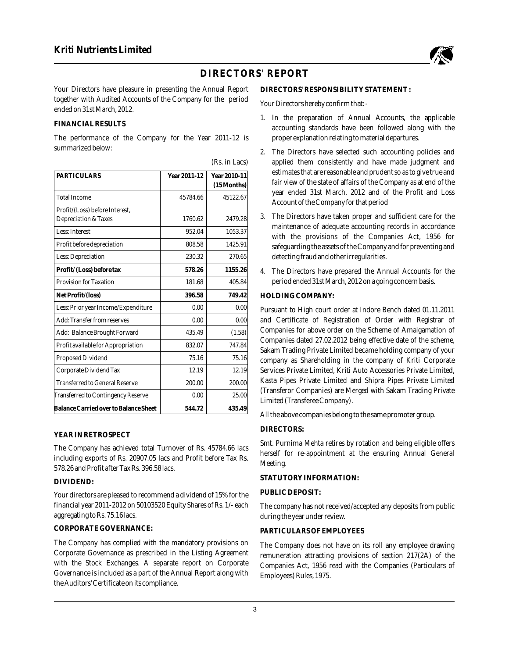

# **DIRECTORS' REPORT**

Your Directors have pleasure in presenting the Annual Report DIRECTORS' RESPONSIBILITY STATEMENT: together with Audited Accounts of the Company for the period Your Directors hereby confirm that: ended on 31st March, 2012.

#### **FINANCIAL RESULTS**

The performance of the Company for the Year 2011-12 is proper explanation relating to material departures. summarized below:

| Year 2011-12 | Year 2010-11 |
|--------------|--------------|
|              | (15 Months)  |
| 45784.66     | 45122.67     |
|              |              |
| 1760.62      | 2479.28      |
| 952.04       | 1053.37      |
| 808.58       | 1425.91      |
| 230.32       | 270.65       |
| 578.26       | 1155.26      |
| 181.68       | 405.84       |
| 396.58       | 749.42       |
| 0.00         | 0.00         |
| 0.00         | 0.00         |
| 435.49       | (1.58)       |
| 832.07       | 747.84       |
| 75.16        | 75.16        |
| 12.19        | 12.19        |
| 200.00       | 200.00       |
| 0.00         | 25.00        |
| 544.72       | 435.49       |
|              |              |

#### **YEAR IN RETROSPECT**

**PUBLIC DEPOSIT:** Your directors are pleased to recommend a dividend of 15% for the financial year 2011-2012 on 50103520 Equity Shares of Rs. 1/- each The company has not received/accepted any deposits from public

### **CORPORATE GOVERNANCE: PARTICULARS OF EMPLOYEES**

The Company has complied with the mandatory provisions on The Company does not have on its roll any employee drawing<br>Corporate Governance as prescribed in the Listing Agreement remuneration attracting provisions of section Corporate Governance as prescribed in the Listing Agreement remuneration attracting provisions of section 217(2A) of the Governance is included as a part of the Annual Report along with Employees) Rules, 1975. the Auditors' Certificate on its compliance.

- 1. In the preparation of Annual Accounts, the applicable accounting standards have been followed along with the
- 2. The Directors have selected such accounting policies and (Rs. in Lacs) applied them consistently and have made judgment and estimates that are reasonable and prudent so as to give true and fair view of the state of affairs of the Company as at end of the year ended 31st March, 2012 and of the Profit and Loss Account of the Company for that period
	- 3. The Directors have taken proper and sufficient care for the maintenance of adequate accounting records in accordance with the provisions of the Companies Act, 1956 for safeguarding the assets of the Company and for preventing and detecting fraud and other irregularities.
	- 4. The Directors have prepared the Annual Accounts for the period ended 31st March, 2012 on a going concern basis.

#### $HOLDING COMPANY:$

Pursuant to High court order at Indore Bench dated 01.11.2011 and Certificate of Registration of Order with Registrar of Companies for above order on the Scheme of Amalgamation of Companies dated 27.02.2012 being effective date of the scheme, Sakam Trading Private Limited became holding company of your company as Shareholding in the company of Kriti Corporate Services Private Limited, Kriti Auto Accessories Private Limited, Kasta Pipes Private Limited and Shipra Pipes Private Limited (Transferor Companies) are Merged with Sakam Trading Private Limited (Transferee Company).

All the above companies belong to the same promoter group.

#### **DIRECTORS:**

The Company has achieved total Turnover of Rs. 45784.66 lacs<br>including exports of Rs. 20907.05 lacs and Profit before Tax Rs.<br>578.26 and Profit after Tax Rs. 396.58 lacs.<br>578.26 and Profit after Tax Rs. 396.58 lacs.

## **STATUTORY INFORMATION: DIVIDEND:**

during the year under review.

Companies Act, 1956 read with the Companies (Particulars of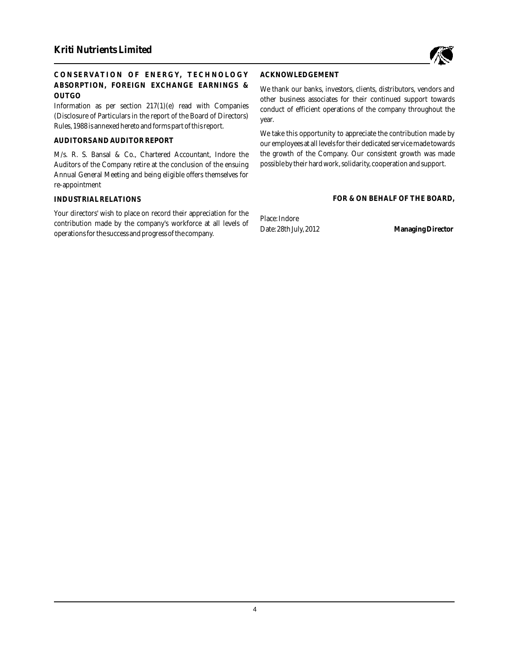

# **CONSERVATION OF ENERGY, TECHNOLO GY ACKNOWLEDGEMENT ABSORPTION, FOREIGN EXCHANGE EARNINGS &** We thank our banks, investors, clients, distributors, vendors and

(Disclosure of Particulars in the report of the Board of Directors) year. Rules, 1988 is annexed hereto and forms part of this report.

Auditors of the Company retire at the conclusion of the ensuing possible by their hard work, solidarity, cooperation and support. Annual General Meeting and being eligible offers themselves for re-appointment

Your directors' wish to place on record their appreciation for the Place: Indore contribution made by the company's workforce at all levels of operations for the success and progress of the company.

**OUTGO** other business associates for their continued support towards conduct of efficient operations of the company throughout the

We take this opportunity to appreciate the contribution made by AUDITORS AND AUDITOR REPORT our employees at all levels for their dedicated service made towards M/s. R. S. Bansal & Co., Chartered Accountant, Indore the the growth of the Company. Our consistent growth was made

#### **INDUSTRIAL RELATIONS FOR & ON BEHALF OF THE BOARD,**

Date: 28th July, 2012 **Managing Director**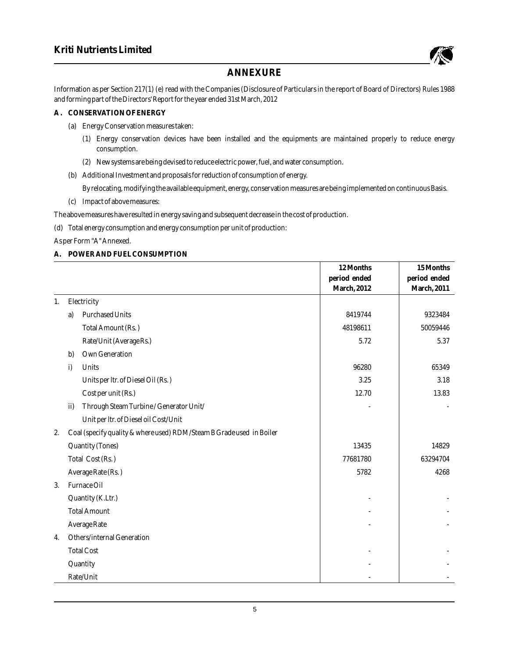

# **ANNEXURE**

Information as per Section 217(1) (e) read with the Companies (Disclosure of Particulars in the report of Board of Directors) Rules 1988 and forming part of the Directors' Report for the year ended 31st March, 2012

#### **A . CONSERVATION OF ENERGY**

- (a) Energy Conservation measures taken:
	- (1) Energy conservation devices have been installed and the equipments are maintained properly to reduce energy consumption.
	- (2) New systems are being devised to reduce electric power, fuel, and water consumption.
- (b) Additional Investment and proposals for reduction of consumption of energy.

By relocating, modifying the available equipment, energy, conservation measures are being implemented on continuous Basis. (c) Impact of above measures:

The above measures have resulted in energy saving and subsequent decrease in the cost of production.

(d) Total energy consumption and energy consumption per unit of production:

As per Form "A" Annexed.

#### **A. POWER AND FUEL CONSUMPTION**

|    |                                                                      | 12 Months    | 15 Months           |
|----|----------------------------------------------------------------------|--------------|---------------------|
|    |                                                                      | period ended | period ended        |
|    |                                                                      | March, 2012  | <b>March</b> , 2011 |
| 1. | Electricity                                                          |              |                     |
|    | <b>Purchased Units</b><br>a)                                         | 8419744      | 9323484             |
|    | Total Amount (Rs.)                                                   | 48198611     | 50059446            |
|    | Rate/Unit (Average Rs.)                                              | 5.72         | 5.37                |
|    | Own Generation<br>b)                                                 |              |                     |
|    | i)<br>Units                                                          | 96280        | 65349               |
|    | Units per ltr. of Diesel Oil (Rs.)                                   | 3.25         | 3.18                |
|    | Cost per unit (Rs.)                                                  | 12.70        | 13.83               |
|    | Through Steam Turbine / Generator Unit/<br>ii)                       |              |                     |
|    | Unit per ltr. of Diesel oil Cost/Unit                                |              |                     |
| 2. | Coal (specify quality & where used) RDM/Steam B Grade used in Boiler |              |                     |
|    | <b>Quantity (Tones)</b>                                              | 13435        | 14829               |
|    | Total Cost (Rs.)                                                     | 77681780     | 63294704            |
|    | Average Rate (Rs.)                                                   | 5782         | 4268                |
| 3. | Furnace Oil                                                          |              |                     |
|    | Quantity (K.Ltr.)                                                    |              |                     |
|    | <b>Total Amount</b>                                                  |              |                     |
|    | <b>Average Rate</b>                                                  |              |                     |
| 4. | Others/internal Generation                                           |              |                     |
|    | <b>Total Cost</b>                                                    |              |                     |
|    | Quantity                                                             |              |                     |
|    | Rate/Unit                                                            |              |                     |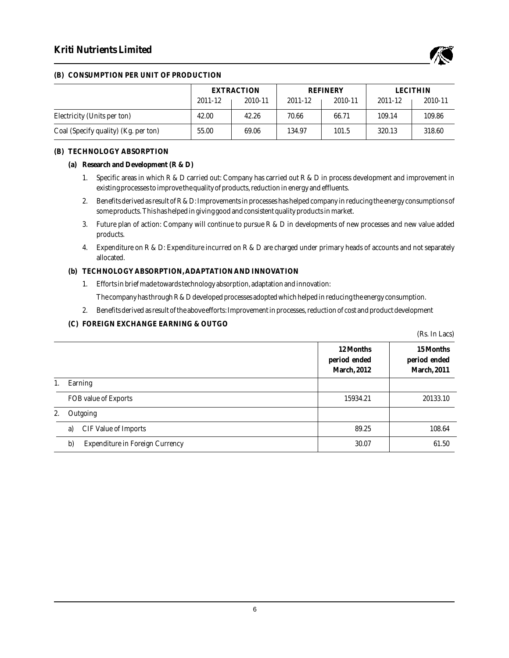# **Kriti Nutrients Limited**



#### **(B) CONSUMPTION PER UNIT OF PRODUCTION**

|                                      | EXTRACTION |         | <b>REFINERY</b> |         | <b>LECITHIN</b> |         |
|--------------------------------------|------------|---------|-----------------|---------|-----------------|---------|
|                                      | 2011-12    | 2010-11 | 2011-12         | 2010-11 | 2011-12         | 2010-11 |
| Electricity (Units per ton)          | 42.00      | 42.26   | 70.66           | 66.71   | 109.14          | 109.86  |
| Coal (Specify quality) (Kg. per ton) | 55.00      | 69.06   | 134.97          | 101.5   | 320.13          | 318.60  |

#### **(B) TECHNOLOGY ABSORPTION**

- **(a) Research and Development (R & D)**
	- 1. Specific areas in which R & D carried out: Company has carried out R & D in process development and improvement in existing processes to improve the quality of products, reduction in energy and effluents.
	- 2. Benefits derived as result of R & D: Improvements in processes has helped company in reducing the energy consumptions of some products. This has helped in giving good and consistent quality products in market.
	- 3. Future plan of action: Company will continue to pursue R & D in developments of new processes and new value added products.
	- 4. Expenditure on R & D: Expenditure incurred on R & D are charged under primary heads of accounts and not separately allocated.
- **(b) TECHNOLOGY ABSORPTION, ADAPTATION AND INNOVATION**
	- 1. Efforts in brief made towards technology absorption, adaptation and innovation: The company has through R & D developed processes adopted which helped in reducing the energy consumption.
	- 2. Benefits derived as result of the above efforts: Improvement in processes, reduction of cost and product development
- **(C) FOREIGN EXCHANGE EARNING & OUTGO**

|    |                                              |                                                 | (Rs. In Lacs)                                    |
|----|----------------------------------------------|-------------------------------------------------|--------------------------------------------------|
|    |                                              | 12 Months<br>period ended<br><b>March, 2012</b> | 15 Months<br>period ended<br><b>March</b> , 2011 |
| 1. | Earning                                      |                                                 |                                                  |
|    | FOB value of Exports                         | 15934.21                                        | 20133.10                                         |
| 2. | Outgoing                                     |                                                 |                                                  |
|    | <b>CIF Value of Imports</b><br>a)            | 89.25                                           | 108.64                                           |
|    | b)<br><b>Expenditure in Foreign Currency</b> | 30.07                                           | 61.50                                            |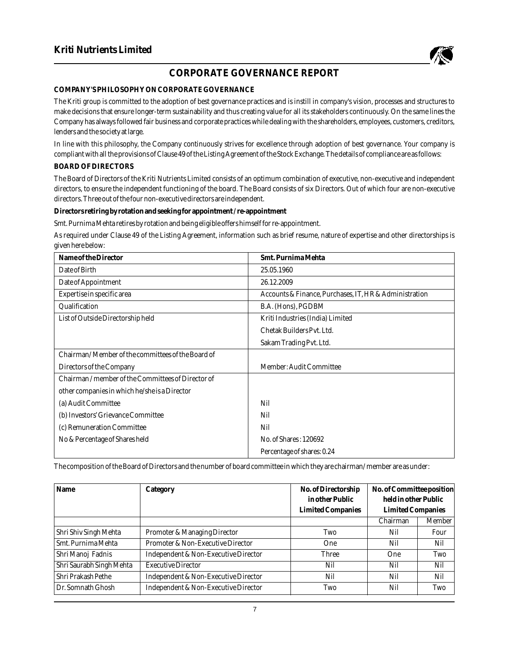

# **CORPORATE GOVERNANCE REPORT**

#### **COMPANY'S PHILOSOPHY ON CORPORATE GOVERNANCE**

The Kriti group is committed to the adoption of best governance practices and is instill in company's vision, processes and structures to make decisions that ensure longer-term sustainability and thus creating value for all its stakeholders continuously. On the same lines the Company has always followed fair business and corporate practices while dealing with the shareholders, employees, customers, creditors, lenders and the society at large.

In line with this philosophy, the Company continuously strives for excellence through adoption of best governance. Your company is compliant with all the provisions of Clause 49 of the Listing Agreement of the Stock Exchange. The details of compliance are as follows: **BOARD OF DIRECTORS**

The Board of Directors of the Kriti Nutrients Limited consists of an optimum combination of executive, non-executive and independent directors, to ensure the independent functioning of the board. The Board consists of six Directors. Out of which four are non-executive directors. Three out of the four non-executive directors are independent.

**Directors retiring by rotation and seeking for appointment / re-appointment**

Smt. Purnima Mehta retires by rotation and being eligible offers himself for re-appointment.

As required under Clause 49 of the Listing Agreement, information such as brief resume, nature of expertise and other directorships is given here below:

| Name of the Director                              | Smt. Purnima Mehta                                     |
|---------------------------------------------------|--------------------------------------------------------|
| Date of Birth                                     | 25.05.1960                                             |
| Date of Appointment                               | 26.12.2009                                             |
| Expertise in specific area                        | Accounts & Finance, Purchases, IT, HR & Administration |
| Qualification                                     | B.A. (Hons), PGDBM                                     |
| List of Outside Directorship held                 | Kriti Industries (India) Limited                       |
|                                                   | Chetak Builders Pvt. Ltd.                              |
|                                                   | Sakam Trading Pvt. Ltd.                                |
| Chairman/Member of the committees of the Board of |                                                        |
| Directors of the Company                          | Member: Audit Committee                                |
| Chairman/member of the Committees of Director of  |                                                        |
| other companies in which he/she is a Director     |                                                        |
| (a) Audit Committee                               | Nil                                                    |
| (b) Investors' Grievance Committee                | Nil                                                    |
| (c) Remuneration Committee                        | Nil                                                    |
| No & Percentage of Shares held                    | No. of Shares: 120692                                  |
|                                                   | Percentage of shares: 0.24                             |

The composition of the Board of Directors and the number of board committee in which they are chairman/ member are as under:

| Name                     | Category                             | No. of Directorship<br>in other Public | No. of Committee position<br>held in other Public |        |
|--------------------------|--------------------------------------|----------------------------------------|---------------------------------------------------|--------|
|                          |                                      | Limited Companies                      | Limited Companies<br>Chairman                     | Member |
| Shri Shiv Singh Mehta    | Promoter & Managing Director         | Two                                    | Nil                                               | Four   |
| Smt. Purnima Mehta       | Promoter & Non-Executive Director    | <b>One</b>                             | Nil                                               | Nil    |
| Shri Manoj Fadnis        | Independent & Non-Executive Director | Three                                  | One                                               | Two    |
| Shri Saurabh Singh Mehta | <b>Executive Director</b>            | Nil                                    | Nil                                               | Nil    |
| Shri Prakash Pethe       | Independent & Non-Executive Director | Nil                                    | Nil                                               | Nil    |
| Dr. Somnath Ghosh        | Independent & Non-Executive Director | Two                                    | Nil                                               | Two    |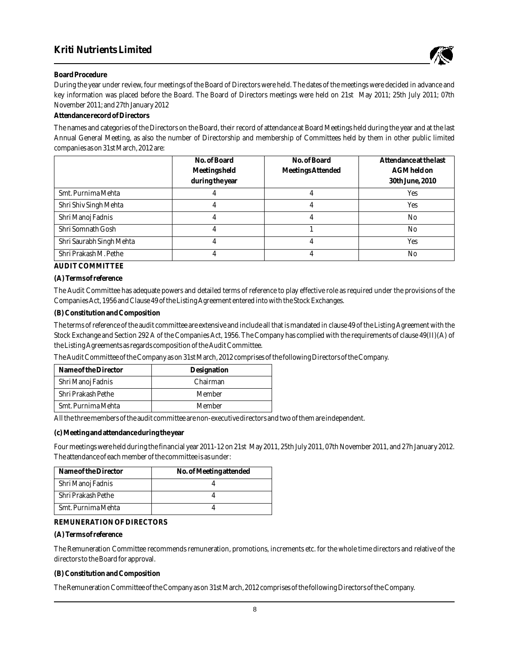

#### **Board Procedure**

During the year under review, four meetings of the Board of Directors were held. The dates of the meetings were decided in advance and key information was placed before the Board. The Board of Directors meetings were held on 21st May 2011; 25th July 2011; 07th November 2011; and 27th January 2012

#### **Attendance record of Directors**

The names and categories of the Directors on the Board, their record of attendance at Board Meetings held during the year and at the last Annual General Meeting, as also the number of Directorship and membership of Committees held by them in other public limited companies as on 31st March, 2012 are:

|                          | No. of Board    | No. of Board      | Attendance at the last |
|--------------------------|-----------------|-------------------|------------------------|
|                          | Meetings held   | Meetings Attended | AGM held on            |
|                          | during the year |                   | 30th June, 2010        |
| Smt. Purnima Mehta       |                 |                   | <b>Yes</b>             |
| Shri Shiv Singh Mehta    |                 |                   | <b>Yes</b>             |
| Shri Manoj Fadnis        |                 |                   | No                     |
| Shri Somnath Gosh        |                 |                   | No                     |
| Shri Saurabh Singh Mehta |                 |                   | <b>Yes</b>             |
| Shri Prakash M. Pethe    |                 |                   | No                     |

**AUDIT COMMITTEE**

**(A) Terms of reference**

The Audit Committee has adequate powers and detailed terms of reference to play effective role as required under the provisions of the Companies Act, 1956 and Clause 49 of the Listing Agreement entered into with the Stock Exchanges.

**(B) Constitution and Composition**

The terms of reference of the audit committee are extensive and include all that is mandated in clause 49 of the Listing Agreement with the Stock Exchange and Section 292 A of the Companies Act, 1956. The Company has complied with the requirements of clause 49(II)(A) of the Listing Agreements as regards composition of the Audit Committee.

The Audit Committee of the Company as on 31st March, 2012 comprises of the following Directors of the Company.

| Name of the Director | Designation |
|----------------------|-------------|
| Shri Manoj Fadnis    | Chairman    |
| Shri Prakash Pethe   | Member      |
| Smt. Purnima Mehta   | Member      |

All the three members of the audit committee are non-executive directors and two of them are independent.

**(c) Meeting and attendance during the year**

Four meetings were held during the financial year 2011-12 on 21st May 2011, 25th July 2011, 07th November 2011, and 27h January 2012. The attendance of each member of the committee is as under:

| Name of the Director | No. of Meeting attended |
|----------------------|-------------------------|
| Shri Manoj Fadnis    |                         |
| Shri Prakash Pethe   |                         |
| Smt. Purnima Mehta   |                         |

**REMUNERATION OF DIRECTORS**

**(A) Terms of reference**

The Remuneration Committee recommends remuneration, promotions, increments etc. for the whole time directors and relative of the directors to the Board for approval.

**(B) Constitution and Composition**

The Remuneration Committee of the Company as on 31st March, 2012 comprises of the following Directors of the Company.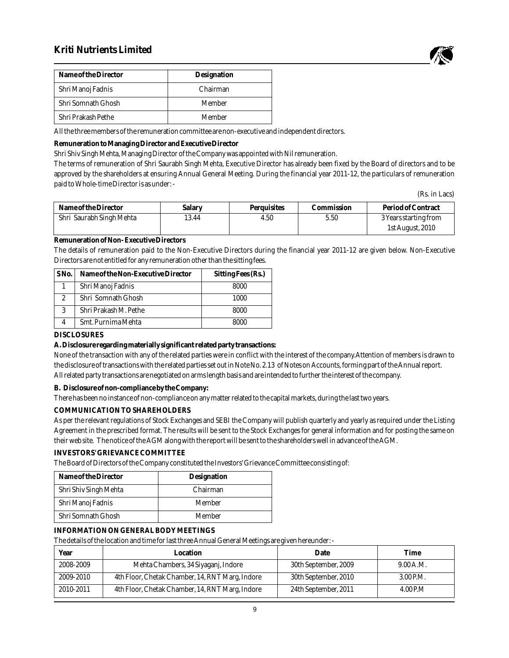# **Kriti Nutrients Limited**



| Name of the Director | Designation |
|----------------------|-------------|
| Shri Manoj Fadnis    | Chairman    |
| Shri Somnath Ghosh   | Member      |
| Shri Prakash Pethe   | Member      |

All the three members of the remuneration committee are non-executive and independent directors.

**Remuneration to Managing Director and Executive Director**

Shri Shiv Singh Mehta, Managing Director of the Company was appointed with Nil remuneration.

The terms of remuneration of Shri Saurabh Singh Mehta, Executive Director has already been fixed by the Board of directors and to be approved by the shareholders at ensuring Annual General Meeting. During the financial year 2011-12, the particulars of remuneration paid to Whole-time Director is as under: -

(Rs. in Lacs)

| Name of the Director     | Salary | Perauisites | Commission | Period of Contract    |
|--------------------------|--------|-------------|------------|-----------------------|
| Shri Saurabh Singh Mehta | 13.44  | 4.50        | 5.50       | 3 Years starting from |
|                          |        |             |            | 1st August, 2010      |

**Remuneration of Non- Executive Directors**

The details of remuneration paid to the Non-Executive Directors during the financial year 2011-12 are given below. Non-Executive Directors are not entitled for any remuneration other than the sitting fees.

| S <sub>N</sub> o. | Name of the Non-Executive Director | Sitting Fees (Rs.) |
|-------------------|------------------------------------|--------------------|
|                   | Shri Manoj Fadnis                  | 8000               |
| 2                 | Shri Somnath Ghosh                 | 1000               |
| 3                 | Shri Prakash M. Pethe              | 8000               |
| 4                 | Smt. Purnima Mehta                 | 8000               |

#### **DISCLOSURES**

**A. Disclosure regarding materially significant related party transactions:**

None of the transaction with any of the related parties were in conflict with the interest of the company.Attention of members is drawn to the disclosure of transactions with the related parties set out in Note No. 2.13 of Notes on Accounts, forming part of the Annual report. All related party transactions are negotiated on arms length basis and are intended to further the interest of the company.

**B. Disclosure of non-compliance by the Company:**

There has been no instance of non-compliance on any matter related to the capital markets, during the last two years.

**COMMUNICATION TO SHAREHOLDERS**

As per the relevant regulations of Stock Exchanges and SEBI the Company will publish quarterly and yearly as required under the Listing Agreement in the prescribed format. The results will be sent to the Stock Exchanges for general information and for posting the same on their web site. The notice of the AGM along with the report will be sent to the shareholders well in advance of the AGM.

#### **INVESTORS' GRIEVANCE COMMITTEE**

The Board of Directors of the Company constituted the Investors' Grievance Committee consisting of:

| Name of the Director  | Designation |
|-----------------------|-------------|
| Shri Shiv Singh Mehta | Chairman    |
| Shri Manoj Fadnis     | Member      |
| Shri Somnath Ghosh    | Member      |

#### **INFORMATION ON GENERAL BODY MEETINGS**

The details of the location and time for last three Annual General Meetings are given hereunder: -

| Year      | Location                                        | Date                 | Time      |
|-----------|-------------------------------------------------|----------------------|-----------|
| 2008-2009 | Mehta Chambers, 34 Siyaganj, Indore             | 30th September, 2009 | 9.00 A.M. |
| 2009-2010 | 4th Floor, Chetak Chamber, 14, RNT Marg, Indore | 30th September, 2010 | 3.00 P.M. |
| 2010-2011 | 4th Floor, Chetak Chamber, 14, RNT Marg, Indore | 24th September, 2011 | 4.00 P.M  |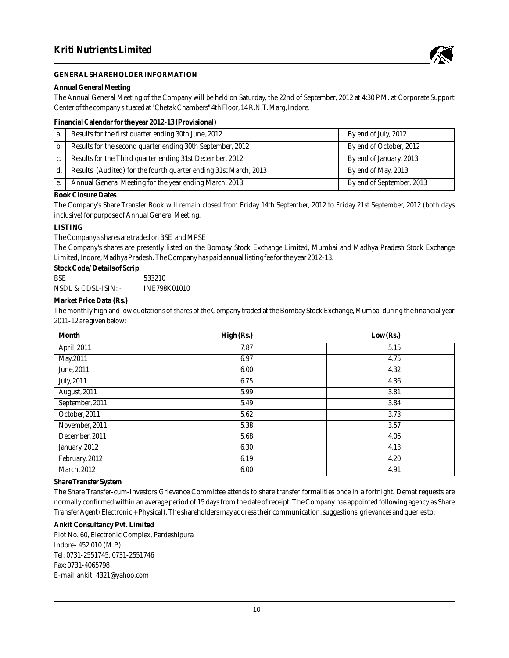

#### **GENERAL SHAREHOLDER INFORMATION**

**Annual General Meeting**

The Annual General Meeting of the Company will be held on Saturday, the 22nd of September, 2012 at 4:30 P.M. at Corporate Support Center of the company situated at "Chetak Chambers" 4th Floor, 14 R.N.T. Marg, Indore.

#### **Financial Calendar for the year 2012-13 (Provisional)**

| a.           | Results for the first quarter ending 30th June, 2012             | By end of July, 2012      |
|--------------|------------------------------------------------------------------|---------------------------|
| b.           | Results for the second quarter ending 30th September, 2012       | By end of October, 2012   |
| $C_{\alpha}$ | Results for the Third quarter ending 31st December, 2012         | By end of January, 2013   |
|              | Results (Audited) for the fourth quarter ending 31st March, 2013 | By end of May, 2013       |
| е.           | Annual General Meeting for the year ending March, 2013           | By end of September, 2013 |

**Book Closure Dates**

The Company's Share Transfer Book will remain closed from Friday 14th September, 2012 to Friday 21st September, 2012 (both days inclusive) for purpose of Annual General Meeting.

**LISTING**

The Company's shares are traded on BSE and MPSE

The Company's shares are presently listed on the Bombay Stock Exchange Limited, Mumbai and Madhya Pradesh Stock Exchange Limited, Indore, Madhya Pradesh. The Company has paid annual listing fee for the year 2012-13.

**Stock Code/ Details of Scrip**

BSE 533210 NSDL & CDSL-ISIN: - INE798K01010

**Market Price Data (Rs.)**

The monthly high and low quotations of shares of the Company traded at the Bombay Stock Exchange, Mumbai during the financial year 2011-12 are given below:

| Month              | High (Rs.) | Low (Rs.) |
|--------------------|------------|-----------|
| April, 2011        | 7.87       | 5.15      |
| May, 2011          | 6.97       | 4.75      |
| June, 2011         | 6.00       | 4.32      |
| July, 2011         | 6.75       | 4.36      |
| August, 2011       | 5.99       | 3.81      |
| September, 2011    | 5.49       | 3.84      |
| October, 2011      | 5.62       | 3.73      |
| November, 2011     | 5.38       | 3.57      |
| December, 2011     | 5.68       | 4.06      |
| January, 2012      | 6.30       | 4.13      |
| February, 2012     | 6.19       | 4.20      |
| <b>March, 2012</b> | 0.00       | 4.91      |

**Share Transfer System**

The Share Transfer-cum-Investors Grievance Committee attends to share transfer formalities once in a fortnight. Demat requests are normally confirmed within an average period of 15 days from the date of receipt. The Company has appointed following agency as Share Transfer Agent (Electronic + Physical). The shareholders may address their communication, suggestions, grievances and queries to:

**Ankit Consultancy Pvt. Limited**

Plot No. 60, Electronic Complex, Pardeshipura Indore- 452 010 (M.P) Tel: 0731-2551745, 0731-2551746 Fax: 0731-4065798 E-mail: ankit\_4321@yahoo.com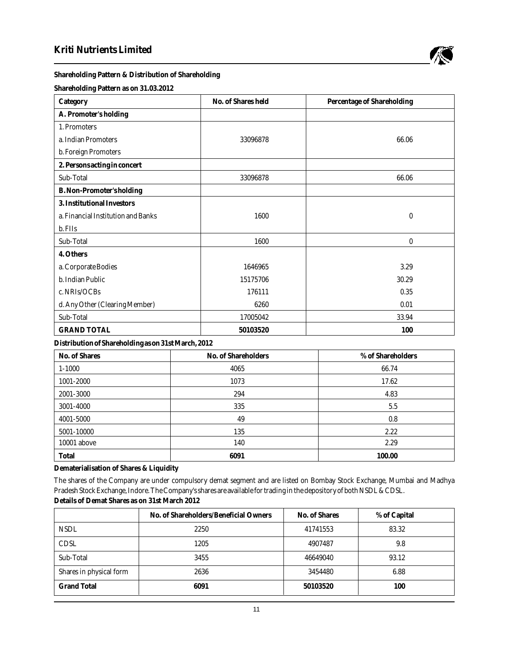

## **Shareholding Pattern & Distribution of Shareholding**

**Shareholding Pattern as on 31.03.2012**

| Category                           | No. of Shares held | Percentage of Shareholding |
|------------------------------------|--------------------|----------------------------|
| A. Promoter's holding              |                    |                            |
| 1. Promoters                       |                    |                            |
| a. Indian Promoters                | 33096878           | 66.06                      |
| b. Foreign Promoters               |                    |                            |
| 2. Persons acting in concert       |                    |                            |
| Sub-Total                          | 33096878           | 66.06                      |
| B. Non-Promoter's holding          |                    |                            |
| 3. Institutional Investors         |                    |                            |
| a. Financial Institution and Banks | 1600               | $\bf{0}$                   |
| b. FIIs                            |                    |                            |
| Sub-Total                          | 1600               | $\bf{0}$                   |
| 4. Others                          |                    |                            |
| a. Corporate Bodies                | 1646965            | 3.29                       |
| b. Indian Public                   | 15175706           | 30.29                      |
| c. NRIs/OCBs                       | 176111             | 0.35                       |
| d. Any Other (Clearing Member)     | 6260               | 0.01                       |
| Sub-Total                          | 17005042           | 33.94                      |
| <b>GRAND TOTAL</b>                 | 50103520           | 100                        |

**Distribution of Shareholding as on 31st March, 2012**

| No. of Shares | No. of Shareholders | % of Shareholders |
|---------------|---------------------|-------------------|
| $1 - 1000$    | 4065                | 66.74             |
| 1001-2000     | 1073                | 17.62             |
| 2001-3000     | 294                 | 4.83              |
| 3001-4000     | 335                 | 5.5               |
| 4001-5000     | 49                  | 0.8               |
| 5001-10000    | 135                 | 2.22              |
| 10001 above   | 140                 | 2.29              |
| Total         | 6091                | 100.00            |

**Dematerialisation of Shares & Liquidity**

The shares of the Company are under compulsory demat segment and are listed on Bombay Stock Exchange, Mumbai and Madhya Pradesh Stock Exchange, Indore. The Company's shares are available for trading in the depository of both NSDL & CDSL. **Details of Demat Shares as on 31st March 2012**

|                         | No. of Shareholders/Beneficial Owners | No. of Shares | % of Capital |
|-------------------------|---------------------------------------|---------------|--------------|
| <b>NSDL</b>             | 2250                                  | 41741553      | 83.32        |
| <b>CDSL</b>             | 1205                                  | 4907487       | 9.8          |
| Sub-Total               | 3455                                  | 46649040      | 93.12        |
| Shares in physical form | 2636                                  | 3454480       | 6.88         |
| <b>Grand Total</b>      | 6091                                  | 50103520      | 100          |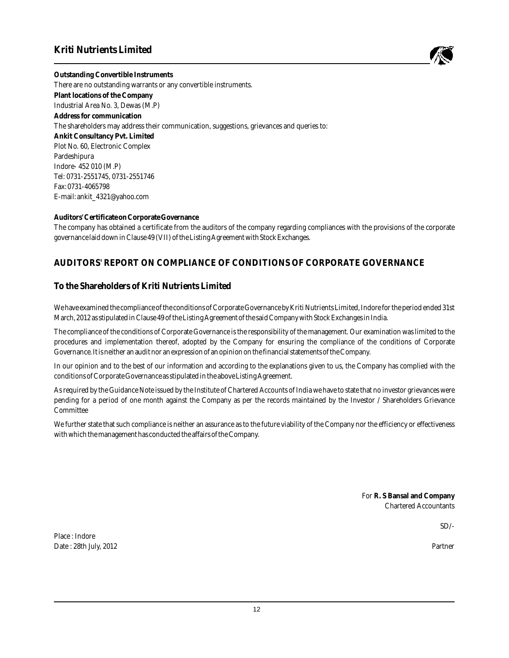# **Kriti Nutrients Limited**



**Outstanding Convertible Instruments** There are no outstanding warrants or any convertible instruments. **Plant locations of the Company** Industrial Area No. 3, Dewas (M.P) **Address for communication** The shareholders may address their communication, suggestions, grievances and queries to: **Ankit Consultancy Pvt. Limited** Plot No. 60, Electronic Complex Pardeshipura Indore- 452 010 (M.P) Tel: 0731-2551745, 0731-2551746 Fax: 0731-4065798 E-mail: ankit\_4321@yahoo.com

**Auditors' Certificate on Corporate Governance**

The company has obtained a certificate from the auditors of the company regarding compliances with the provisions of the corporate governance laid down in Clause 49 (VII) of the Listing Agreement with Stock Exchanges.

# **AUDITORS' REPORT ON COMPLIANCE OF CONDITIONS OF CORPORATE GOVERNANCE**

## **To the Shareholders of Kriti Nutrients Limited**

We have examined the compliance of the conditions of Corporate Governance by Kriti Nutrients Limited, Indore for the period ended 31st March, 2012 as stipulated in Clause 49 of the Listing Agreement of the said Company with Stock Exchanges in India.

The compliance of the conditions of Corporate Governance is the responsibility of the management. Our examination was limited to the procedures and implementation thereof, adopted by the Company for ensuring the compliance of the conditions of Corporate Governance. It is neither an audit nor an expression of an opinion on the financial statements of the Company.

In our opinion and to the best of our information and according to the explanations given to us, the Company has complied with the conditions of Corporate Governance as stipulated in the above Listing Agreement.

As required by the Guidance Note issued by the Institute of Chartered Accounts of India we have to state that no investor grievances were pending for a period of one month against the Company as per the records maintained by the Investor / Shareholders Grievance Committee

We further state that such compliance is neither an assurance as to the future viability of the Company nor the efficiency or effectiveness with which the management has conducted the affairs of the Company.

> For **R. S Bansal and Company** Chartered Accountants

> > $SD/-$

Partner

Place : Indore Date : 28th July, 2012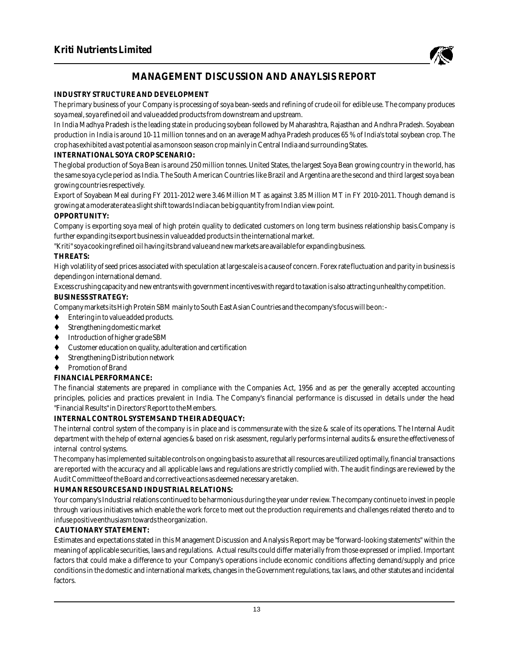

# **MANAGEMENT DISCUSSION AND ANAYLSIS REPORT**

### **INDUSTRY STRUCTURE AND DEVELOPMENT**

The primary business of your Company is processing of soya bean-seeds and refining of crude oil for edible use. The company produces soya meal, soya refined oil and value added products from downstream and upstream.

In India Madhya Pradesh is the leading state in producing soybean followed by Maharashtra, Rajasthan and Andhra Pradesh. Soyabean production in India is around 10-11 million tonnes and on an average Madhya Pradesh produces 65 % of India's total soybean crop. The crop has exhibited a vast potential as a monsoon season crop mainly in Central India and surrounding States.

#### **INTERNATIONAL SOYA CROP SCENARIO:**

The global production of Soya Bean is around 250 million tonnes. United States, the largest Soya Bean growing country in the world, has the same soya cycle period as India. The South American Countries like Brazil and Argentina are the second and third largest soya bean growing countries respectively.

Export of Soyabean Meal during FY 2011-2012 were 3.46 Million MT as against 3.85 Million MT in FY 2010-2011. Though demand is growing at a moderate rate a slight shift towards India can be big quantity from Indian view point.

#### **OPPORTUNITY:**

Company is exporting soya meal of high protein quality to dedicated customers on long term business relationship basis.Company is further expanding its export business in value added products in the international market.

"Kriti" soya cooking refined oil having its brand value and new markets are available for expanding business.

#### **THREATS:**

High volatility of seed prices associated with speculation at large scale is a cause of concern. Forex rate fluctuation and parity in business is depending on international demand.

Excess crushing capacity and new entrants with government incentives with regard to taxation is also attracting unhealthy competition. **BUSINESS STRATEGY:**

Company markets its High Protein SBM mainly to South East Asian Countries and the company's focus will be on: -

- ◆ Entering in to value added products.
- ◆ Strengthening domestic market
- $\blacklozenge$  Introduction of higher grade SBM
- Customer education on quality, adulteration and certification
- ◆ Strengthening Distribution network
- ◆ Promotion of Brand

### **FINANCIAL PERFORMANCE:**

The financial statements are prepared in compliance with the Companies Act, 1956 and as per the generally accepted accounting principles, policies and practices prevalent in India. The Company's financial performance is discussed in details under the head "Financial Results" in Directors' Report to the Members.

#### **INTERNAL CONTROL SYSTEMS AND THEIR ADEQUACY:**

The internal control system of the company is in place and is commensurate with the size & scale of its operations. The Internal Audit department with the help of external agencies & based on risk asessment, regularly performs internal audits & ensure the effectiveness of internal control systems.

The company has implemented suitable controls on ongoing basis to assure that all resources are utilized optimally, financial transactions are reported with the accuracy and all applicable laws and regulations are strictly complied with. The audit findings are reviewed by the Audit Committee of the Board and corrective actions as deemed necessary are taken.

### **HUMAN RESOURCES AND INDUSTRIAL RELATIONS:**

Your company's Industrial relations continued to be harmonious during the year under review. The company continue to invest in people through various initiatives which enable the work force to meet out the production requirements and challenges related thereto and to infuse positive enthusiasm towards the organization.

### **CAUTIONARY STATEMENT:**

Estimates and expectations stated in this Management Discussion and Analysis Report may be "forward-looking statements" within the meaning of applicable securities, laws and regulations. Actual results could differ materially from those expressed or implied. Important factors that could make a difference to your Company's operations include economic conditions affecting demand/supply and price conditions in the domestic and international markets, changes in the Government regulations, tax laws, and other statutes and incidental factors.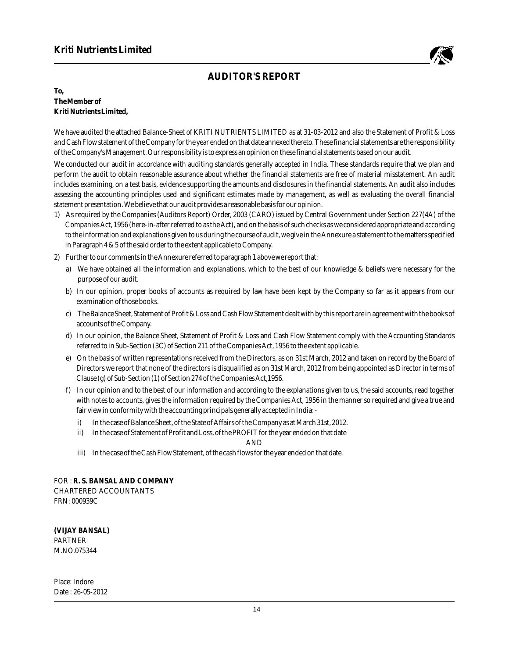

# **AUDITOR'S REPORT**

**To, The Member of Kriti Nutrients Limited,**

We have audited the attached Balance-Sheet of KRITI NUTRIENTS LIMITED as at 31-03-2012 and also the Statement of Profit & Loss and Cash Flow statement of the Company for the year ended on that date annexed thereto. These financial statements are the responsibility of the Company's Management. Our responsibility is to express an opinion on these financial statements based on our audit.

We conducted our audit in accordance with auditing standards generally accepted in India. These standards require that we plan and perform the audit to obtain reasonable assurance about whether the financial statements are free of material misstatement. An audit includes examining, on a test basis, evidence supporting the amounts and disclosures in the financial statements. An audit also includes assessing the accounting principles used and significant estimates made by management, as well as evaluating the overall financial statement presentation. We believe that our audit provides a reasonable basis for our opinion.

- 1) As required by the Companies (Auditors Report) Order, 2003 (CARO) issued by Central Government under Section 227(4A) of the Companies Act, 1956 (here-in-after referred to as the Act), and on the basis of such checks as we considered appropriate and according to the information and explanations given to us during the course of audit, we give in the Annexure a statement to the matters specified in Paragraph 4 & 5 of the said order to the extent applicable to Company.
- 2) Further to our comments in the Annexure referred to paragraph 1 above we report that:
	- a) We have obtained all the information and explanations, which to the best of our knowledge & beliefs were necessary for the purpose of our audit.
	- b) In our opinion, proper books of accounts as required by law have been kept by the Company so far as it appears from our examination of those books.
	- c) The Balance Sheet, Statement of Profit & Loss and Cash Flow Statement dealt with by this report are in agreement with the books of accounts of the Company.
	- d) In our opinion, the Balance Sheet, Statement of Profit & Loss and Cash Flow Statement comply with the Accounting Standards referred to in Sub-Section (3C) of Section 211 of the Companies Act, 1956 to the extent applicable.
	- e) On the basis of written representations received from the Directors, as on 31st March, 2012 and taken on record by the Board of Directors we report that none of the directors is disqualified as on 31st March, 2012 from being appointed as Director in terms of Clause (g) of Sub-Section (1) of Section 274 of the Companies Act,1956.
	- f) In our opinion and to the best of our information and according to the explanations given to us, the said accounts, read together with notes to accounts, gives the information required by the Companies Act, 1956 in the manner so required and give a true and fair view in conformity with the accounting principals generally accepted in India:
		- i) In the case of Balance Sheet, of the State of Affairs of the Company as at March 31st, 2012.
		- ii) In the case of Statement of Profit and Loss, of the PROFIT for the year ended on that date

AND

iii) In the case of the Cash Flow Statement, of the cash flows for the year ended on that date.

FOR : **R. S. BANSAL AND COMPANY** CHARTERED ACCOUNTANTS FRN: 000939C

**(VIJAY BANSAL)** PARTNER M.NO.075344

Place: Indore Date : 26-05-2012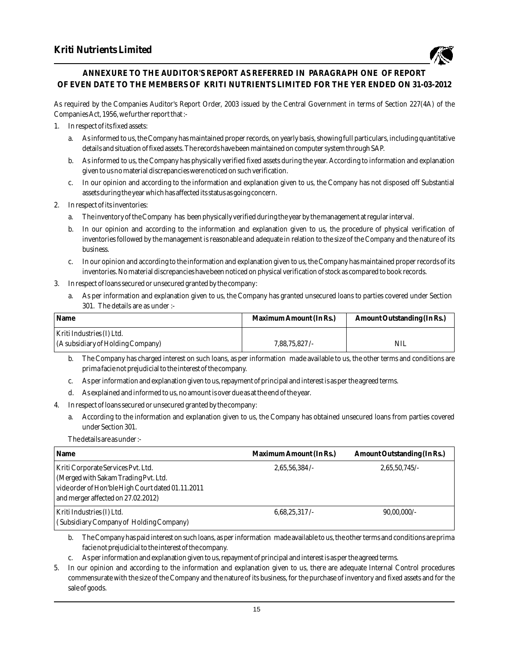

## **ANNEXURE TO THE AUDITOR'S REPORT AS REFERRED IN PARAGRAPH ONE OF REPORT OF EVEN DATE TO THE MEMBERS OF KRITI NUTRIENTS LIMITED FOR THE YER ENDED ON 31-03-2012**

As required by the Companies Auditor's Report Order, 2003 issued by the Central Government in terms of Section 227(4A) of the Companies Act, 1956, we further report that :-

- 1. In respect of its fixed assets:
	- a. As informed to us, the Company has maintained proper records, on yearly basis, showing full particulars, including quantitative details and situation of fixed assets. The records have been maintained on computer system through SAP.
	- b. As informed to us, the Company has physically verified fixed assets during the year. According to information and explanation given to us no material discrepancies were noticed on such verification.
	- c. In our opinion and according to the information and explanation given to us, the Company has not disposed off Substantial assets during the year which has affected its status as going concern.
- 2. In respect of its inventories:
	- a. The inventory of the Company has been physically verified during the year by the management at regular interval.
	- b. In our opinion and according to the information and explanation given to us, the procedure of physical verification of inventories followed by the management is reasonable and adequate in relation to the size of the Company and the nature of its business.
	- c. In our opinion and according to the information and explanation given to us, the Company has maintained proper records of its inventories. No material discrepancies have been noticed on physical verification of stock as compared to book records.
- 3. In respect of loans secured or unsecured granted by the company:
	- a. As per information and explanation given to us, the Company has granted unsecured loans to parties covered under Section 301. The details are as under :-

| Name                              | Maximum Amount (In Rs.) | Amount Outstanding (In Rs.) |
|-----------------------------------|-------------------------|-----------------------------|
| Kriti Industries (I) Ltd.         |                         |                             |
| (A subsidiary of Holding Company) | $7,88,75,827$ /-        | NIL                         |

- b. The Company has charged interest on such loans, as per information made available to us, the other terms and conditions are prima facie not prejudicial to the interest of the company.
- c. As per information and explanation given to us, repayment of principal and interest is as per the agreed terms.
- d. As explained and informed to us, no amount is over due as at the end of the year.
- 4. In respect of loans secured or unsecured granted by the company:
	- a. According to the information and explanation given to us, the Company has obtained unsecured loans from parties covered under Section 301.

The details are as under :-

| Name                                                                                                                                                                  | Maximum Amount (In Rs.) | Amount Outstanding (In Rs.) |
|-----------------------------------------------------------------------------------------------------------------------------------------------------------------------|-------------------------|-----------------------------|
| Kriti Corporate Services Pvt. Ltd.<br>(Merged with Sakam Trading Pvt. Ltd.<br>vide order of Hon'ble High Court dated 01.11.2011<br>and merger affected on 27.02.2012) | 2,65,56,384/            | 2,65,50,745/                |
| Kriti Industries (I) Ltd.<br>(Subsidiary Company of Holding Company)                                                                                                  | 6,68,25,317/            | $90,00,000/$ -              |

b. The Company has paid interest on such loans, as per information made available to us, the other terms and conditions are prima facie not prejudicial to the interest of the company.

- c. As per information and explanation given to us, repayment of principal and interest is as per the agreed terms.
- 5. In our opinion and according to the information and explanation given to us, there are adequate Internal Control procedures commensurate with the size of the Company and the nature of its business, for the purchase of inventory and fixed assets and for the sale of goods.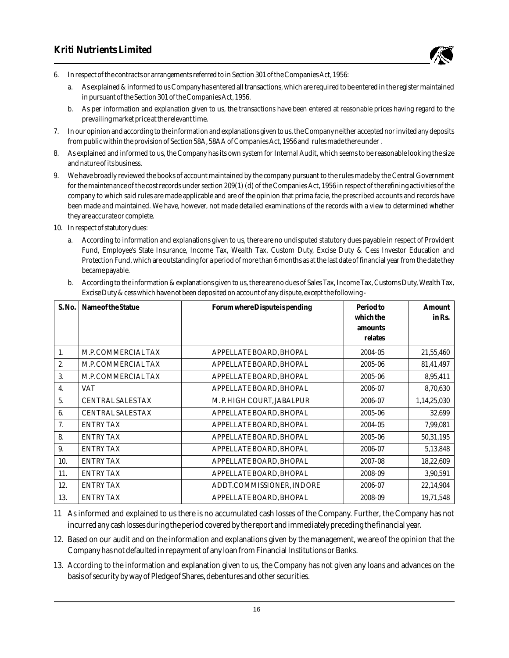

- 6. In respect of the contracts or arrangements referred to in Section 301 of the Companies Act, 1956:
	- a. As explained & informed to us Company has entered all transactions, which are required to be entered in the register maintained in pursuant of the Section 301 of the Companies Act, 1956.
	- b. As per information and explanation given to us, the transactions have been entered at reasonable prices having regard to the prevailing market price at the relevant time.
- 7. In our opinion and according to the information and explanations given to us, the Company neither accepted nor invited any deposits from public within the provision of Section 58A, 58AA of Companies Act, 1956 and rules made there under .
- 8. As explained and informed to us, the Company has its own system for Internal Audit, which seems to be reasonable looking the size and nature of its business.
- 9. We have broadly reviewed the books of account maintained by the company pursuant to the rules made by the Central Government for the maintenance of the cost records under section 209(1) (d) of the Companies Act, 1956 in respect of the refining activities of the company to which said rules are made applicable and are of the opinion that prima facie, the prescribed accounts and records have been made and maintained. We have, however, not made detailed examinations of the records with a view to determined whether they are accurate or complete.
- 10. In respect of statutory dues:
	- a. According to information and explanations given to us, there are no undisputed statutory dues payable in respect of Provident Fund, Employee's State Insurance, Income Tax, Wealth Tax, Custom Duty, Excise Duty & Cess Investor Education and Protection Fund, which are outstanding for a period of more than 6 months as at the last date of financial year from the date they became payable.
	- b. According to the information & explanations given to us, there are no dues of Sales Tax, Income Tax, Customs Duty, Wealth Tax, Excise Duty & cess which have not been deposited on account of any dispute, except the following -

| S. No. | Name of the Statue       | Forum where Dispute is pending | Period to | Amount      |
|--------|--------------------------|--------------------------------|-----------|-------------|
|        |                          |                                | which the | in Rs.      |
|        |                          |                                | amounts   |             |
|        |                          |                                | relates   |             |
| 1.     | M.P. COMMERCIAL TAX      | APPELLATE BOARD, BHOPAL        | 2004-05   | 21,55,460   |
| 2.     | M.P. COMMERCIAL TAX      | APPELLATE BOARD, BHOPAL        | 2005-06   | 81,41,497   |
| 3.     | M.P. COMMERCIAL TAX      | APPELLATE BOARD, BHOPAL        | 2005-06   | 8,95,411    |
| 4.     | VAT                      | APPELLATE BOARD, BHOPAL        | 2006-07   | 8,70,630    |
| 5.     | <b>CENTRAL SALES TAX</b> | M. P. HIGH COURT, JABALPUR     | 2006-07   | 1,14,25,030 |
| 6.     | <b>CENTRAL SALES TAX</b> | APPELLATE BOARD. BHOPAL        | 2005-06   | 32,699      |
| 7.     | <b>ENTRY TAX</b>         | APPELLATE BOARD, BHOPAL        | 2004-05   | 7,99,081    |
| 8.     | <b>ENTRY TAX</b>         | APPELLATE BOARD, BHOPAL        | 2005-06   | 50,31,195   |
| 9.     | <b>ENTRY TAX</b>         | APPELLATE BOARD, BHOPAL        | 2006-07   | 5,13,848    |
| 10.    | <b>ENTRY TAX</b>         | APPELLATE BOARD, BHOPAL        | 2007-08   | 18,22,609   |
| 11.    | <b>ENTRY TAX</b>         | APPELLATE BOARD, BHOPAL        | 2008-09   | 3,90,591    |
| 12.    | <b>ENTRY TAX</b>         | ADDT.COMMISSIONER, INDORE      | 2006-07   | 22,14,904   |
| 13.    | <b>ENTRY TAX</b>         | APPELLATE BOARD, BHOPAL        | 2008-09   | 19,71,548   |

11 As informed and explained to us there is no accumulated cash losses of the Company. Further, the Company has not incurred any cash losses during the period covered by the report and immediately preceding the financial year.

- 12. Based on our audit and on the information and explanations given by the management, we are of the opinion that the Company has not defaulted in repayment of any loan from Financial Institutions or Banks.
- 13. According to the information and explanation given to us, the Company has not given any loans and advances on the basis of security by way of Pledge of Shares, debentures and other securities.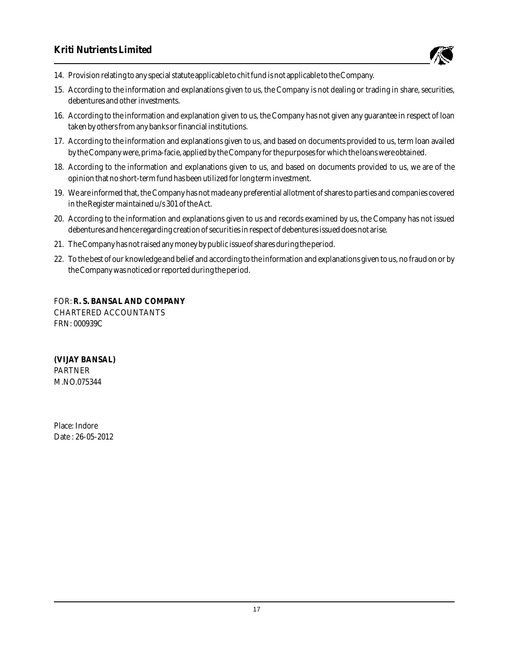

- 14. Provision relating to any special statute applicable to chit fund is not applicable to the Company.
- 15. According to the information and explanations given to us, the Company is not dealing or trading in share, securities, debentures and other investments.
- 16. According to the information and explanation given to us, the Company has not given any guarantee in respect of loan taken by others from any banks or financial institutions.
- 17. According to the information and explanations given to us, and based on documents provided to us, term loan availed by the Company were, prima-facie, applied by the Company for the purposes for which the loans were obtained.
- 18. According to the information and explanations given to us, and based on documents provided to us, we are of the opinion that no short-term fund has been utilized for long term investment.
- 19. We are informed that, the Company has not made any preferential allotment of shares to parties and companies covered in the Register maintained u/s 301 of the Act.
- 20. According to the information and explanations given to us and records examined by us, the Company has not issued debentures and hence regarding creation of securities in respect of debentures issued does not arise.
- 21. The Company has not raised any money by public issue of shares during the period.
- 22. To the best of our knowledge and belief and according to the information and explanations given to us, no fraud on or by the Company was noticed or reported during the period.

FOR: **R. S. BANSAL AND COMPANY** CHARTERED ACCOUNTANTS FRN: 000939C

**(VIJAY BANSAL)** PARTNER M.NO.075344

Place: Indore Date : 26-05-2012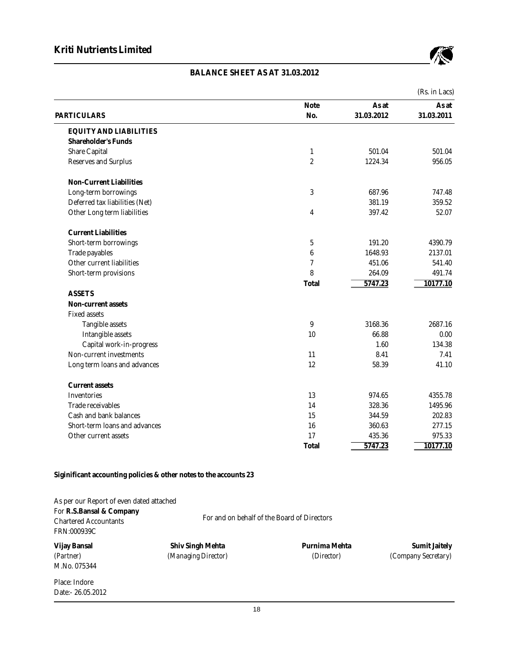

# **BALANCE SHEET AS AT 31.03.2012**

|                                |                  |            | (Rs. in Lacs) |
|--------------------------------|------------------|------------|---------------|
|                                | <b>Note</b>      | As at      | As at         |
| <b>PARTICULARS</b>             | No.              | 31.03.2012 | 31.03.2011    |
| <b>EQUITY AND LIABILITIES</b>  |                  |            |               |
| Shareholder's Funds            |                  |            |               |
| <b>Share Capital</b>           | $\mathbf{1}$     | 501.04     | 501.04        |
| <b>Reserves and Surplus</b>    | $\boldsymbol{2}$ | 1224.34    | 956.05        |
| <b>Non-Current Liabilities</b> |                  |            |               |
| Long-term borrowings           | 3                | 687.96     | 747.48        |
| Deferred tax liabilities (Net) |                  | 381.19     | 359.52        |
| Other Long term liabilities    | 4                | 397.42     | 52.07         |
| <b>Current Liabilities</b>     |                  |            |               |
| Short-term borrowings          | 5                | 191.20     | 4390.79       |
| Trade payables                 | $6\phantom{1}6$  | 1648.93    | 2137.01       |
| Other current liabilities      | 7                | 451.06     | 541.40        |
| Short-term provisions          | 8                | 264.09     | 491.74        |
|                                | Total            | 5747.23    | 10177.10      |
| <b>ASSETS</b>                  |                  |            |               |
| Non-current assets             |                  |            |               |
| <b>Fixed assets</b>            |                  |            |               |
| Tangible assets                | 9                | 3168.36    | 2687.16       |
| Intangible assets              | 10               | 66.88      | 0.00          |
| Capital work-in-progress       |                  | 1.60       | 134.38        |
| Non-current investments        | 11               | 8.41       | 7.41          |
| Long term loans and advances   | 12               | 58.39      | 41.10         |
| <b>Current assets</b>          |                  |            |               |
| Inventories                    | 13               | 974.65     | 4355.78       |
| Trade receivables              | 14               | 328.36     | 1495.96       |
| Cash and bank balances         | 15               | 344.59     | 202.83        |
| Short-term loans and advances  | 16               | 360.63     | 277.15        |
| Other current assets           | 17               | 435.36     | 975.33        |
|                                | Total            | 5747.23    | 10177.10      |

**Siginificant accounting policies & other notes to the accounts 23**

| As per our Report of even dated attached<br>For R.S.Bansal & Company<br><b>Chartered Accountants</b> |                     | For and on behalf of the Board of Directors |                            |
|------------------------------------------------------------------------------------------------------|---------------------|---------------------------------------------|----------------------------|
| FRN:000939C                                                                                          |                     |                                             |                            |
| Vijay Bansal                                                                                         | Shiv Singh Mehta    | Purnima Mehta                               | <b>Sumit Jaitely</b>       |
| (Partner)                                                                                            | (Managing Director) | (Director)                                  | <i>(Company Secretary)</i> |
| M.No. 075344                                                                                         |                     |                                             |                            |
| Place: Indore                                                                                        |                     |                                             |                            |
| Date:- 26.05.2012                                                                                    |                     |                                             |                            |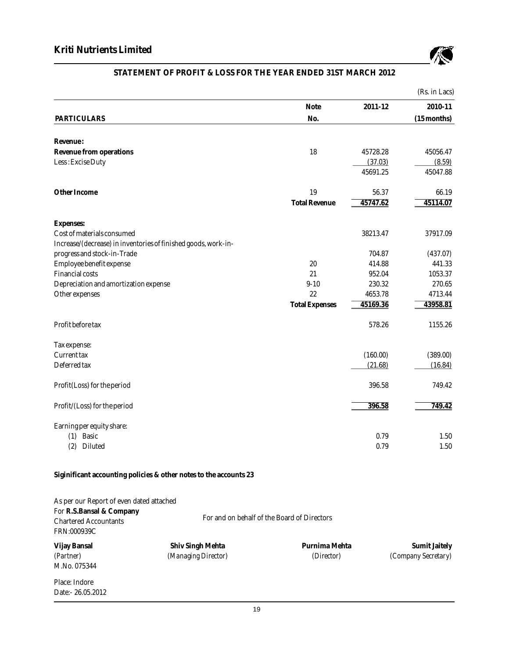

# **STATEMENT OF PROFIT & LOSS FOR THE YEAR ENDED 31ST MARCH 2012**

|                                                                |                       |          | (Rs. in Lacs) |
|----------------------------------------------------------------|-----------------------|----------|---------------|
|                                                                | Note                  | 2011-12  | 2010-11       |
| <b>PARTICULARS</b>                                             | No.                   |          | $(15$ months) |
| Revenue:                                                       |                       |          |               |
| Revenue from operations                                        | 18                    | 45728.28 | 45056.47      |
| Less: Excise Duty                                              |                       | (37.03)  | (8.59)        |
|                                                                |                       | 45691.25 | 45047.88      |
| Other Income                                                   | 19                    | 56.37    | 66.19         |
|                                                                | <b>Total Revenue</b>  | 45747.62 | 45114.07      |
| <b>Expenses:</b>                                               |                       |          |               |
| Cost of materials consumed                                     |                       | 38213.47 | 37917.09      |
| Increase/(decrease) in inventories of finished goods, work-in- |                       |          |               |
| progress and stock-in-Trade                                    |                       | 704.87   | (437.07)      |
| Employee benefit expense                                       | 20                    | 414.88   | 441.33        |
| <b>Financial costs</b>                                         | 21                    | 952.04   | 1053.37       |
| Depreciation and amortization expense                          | $9 - 10$              | 230.32   | 270.65        |
| Other expenses                                                 | 22                    | 4653.78  | 4713.44       |
|                                                                | <b>Total Expenses</b> | 45169.36 | 43958.81      |
| Profit before tax                                              |                       | 578.26   | 1155.26       |
| Tax expense:                                                   |                       |          |               |
| <b>Current tax</b>                                             |                       | (160.00) | (389.00)      |
| Deferred tax                                                   |                       | (21.68)  | (16.84)       |
| Profit(Loss) for the period                                    |                       | 396.58   | 749.42        |
| Profit/(Loss) for the period                                   |                       | 396.58   | 749.42        |
| Earning per equity share:                                      |                       |          |               |
| (1) Basic                                                      |                       | 0.79     | 1.50          |
| (2)<br>Diluted                                                 |                       | 0.79     | 1.50          |

**Siginificant accounting policies & other notes to the accounts 23**

| As per our Report of even dated attached |                     |                                             |                            |  |  |  |
|------------------------------------------|---------------------|---------------------------------------------|----------------------------|--|--|--|
| For R.S.Bansal & Company                 |                     |                                             |                            |  |  |  |
| <b>Chartered Accountants</b>             |                     | For and on behalf of the Board of Directors |                            |  |  |  |
| FRN:000939C                              |                     |                                             |                            |  |  |  |
| Vijay Bansal                             | Shiv Singh Mehta    | Purnima Mehta                               | <b>Sumit Jaitely</b>       |  |  |  |
| (Partner)                                | (Managing Director) | (Director)                                  | <i>(Company Secretary)</i> |  |  |  |
| M.No. 075344                             |                     |                                             |                            |  |  |  |
| Place: Indore                            |                     |                                             |                            |  |  |  |
| Date:-26.05.2012                         |                     |                                             |                            |  |  |  |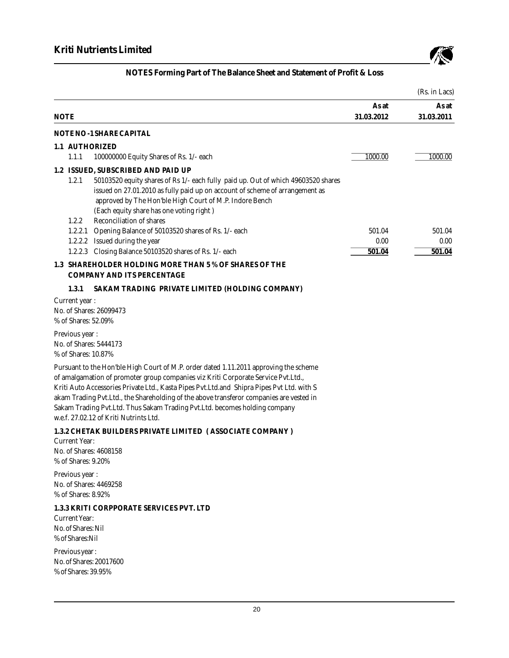

|             |                                                               |                                                                                                                                                                                                                                                                                                                                                                                                                                                                                             |                     | (Rs. in Lacs)       |
|-------------|---------------------------------------------------------------|---------------------------------------------------------------------------------------------------------------------------------------------------------------------------------------------------------------------------------------------------------------------------------------------------------------------------------------------------------------------------------------------------------------------------------------------------------------------------------------------|---------------------|---------------------|
| <b>NOTE</b> |                                                               |                                                                                                                                                                                                                                                                                                                                                                                                                                                                                             | As at<br>31.03.2012 | As at<br>31.03.2011 |
|             |                                                               | NOTE NO-1 SHARE CAPITAL                                                                                                                                                                                                                                                                                                                                                                                                                                                                     |                     |                     |
|             |                                                               | 1.1 AUTHORIZED                                                                                                                                                                                                                                                                                                                                                                                                                                                                              |                     |                     |
|             | 1.1.1                                                         | 100000000 Equity Shares of Rs. 1/- each                                                                                                                                                                                                                                                                                                                                                                                                                                                     | 1000.00             | 1000.00             |
|             | 1.2.1<br>1.2.2                                                | 1.2 ISSUED, SUBSCRIBED AND PAID UP<br>50103520 equity shares of Rs 1/- each fully paid up. Out of which 49603520 shares<br>issued on 27.01.2010 as fully paid up on account of scheme of arrangement as<br>approved by The Hon'ble High Court of M.P. Indore Bench<br>(Each equity share has one voting right)<br>Reconciliation of shares                                                                                                                                                  |                     |                     |
|             | 1.2.2.1                                                       | Opening Balance of 50103520 shares of Rs. 1/- each                                                                                                                                                                                                                                                                                                                                                                                                                                          | 501.04              | 501.04              |
|             |                                                               | 1.2.2.2 Issued during the year<br>1.2.2.3 Closing Balance 50103520 shares of Rs. 1/- each                                                                                                                                                                                                                                                                                                                                                                                                   | 0.00<br>501.04      | 0.00<br>501.04      |
|             |                                                               | 1.3 SHAREHOLDER HOLDING MORE THAN 5 % OF SHARES OF THE<br><b>COMPANY AND ITS PERCENTAGE</b>                                                                                                                                                                                                                                                                                                                                                                                                 |                     |                     |
|             | 1.3.1                                                         | SAKAM TRADING PRIVATE LIMITED (HOLDING COMPANY)                                                                                                                                                                                                                                                                                                                                                                                                                                             |                     |                     |
|             | Current year:<br>% of Shares: 52.09%                          | No. of Shares: 26099473                                                                                                                                                                                                                                                                                                                                                                                                                                                                     |                     |                     |
|             | Previous year :<br>% of Shares: 10.87%                        | No. of Shares: 5444173                                                                                                                                                                                                                                                                                                                                                                                                                                                                      |                     |                     |
|             |                                                               | Pursuant to the Hon'ble High Court of M.P. order dated 1.11.2011 approving the scheme<br>of amalgamation of promoter group companies viz Kriti Corporate Service Pvt.Ltd.,<br>Kriti Auto Accessories Private Ltd., Kasta Pipes Pvt.Ltd.and Shipra Pipes Pvt Ltd. with S<br>akam Trading Pvt. Ltd., the Shareholding of the above transferor companies are vested in<br>Sakam Trading Pvt.Ltd. Thus Sakam Trading Pvt.Ltd. becomes holding company<br>w.e.f. 27.02.12 of Kriti Nutrints Ltd. |                     |                     |
|             | <b>Current Year:</b><br>% of Shares: 9.20%                    | 1.3.2 CHETAK BUILDERS PRIVATE LIMITED (ASSOCIATE COMPANY)<br>No. of Shares: 4608158                                                                                                                                                                                                                                                                                                                                                                                                         |                     |                     |
|             | Previous year:<br>% of Shares: 8.92%                          | No. of Shares: 4469258                                                                                                                                                                                                                                                                                                                                                                                                                                                                      |                     |                     |
|             | <b>Current Year:</b><br>No. of Shares: Nil<br>% of Shares:Nil | 1.3.3 KRITI CORPPORATE SERVICES PVT. LTD                                                                                                                                                                                                                                                                                                                                                                                                                                                    |                     |                     |
|             | Previous year:<br>% of Shares: 39.95%                         | No. of Shares: 20017600                                                                                                                                                                                                                                                                                                                                                                                                                                                                     |                     |                     |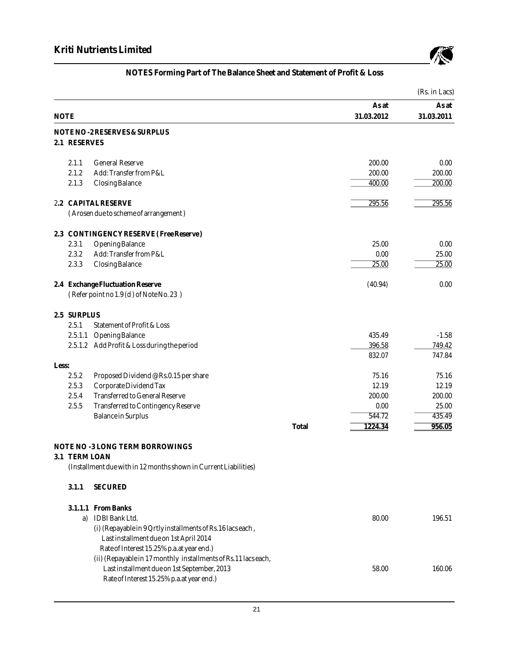

|       |               |                                                                  |       |            | (Rs. in Lacs) |
|-------|---------------|------------------------------------------------------------------|-------|------------|---------------|
|       |               |                                                                  |       | As at      | As at         |
|       | <b>NOTE</b>   |                                                                  |       | 31.03.2012 | 31.03.2011    |
|       |               | NOTE NO-2 RESERVES & SURPLUS                                     |       |            |               |
|       | 2.1 RESERVES  |                                                                  |       |            |               |
|       | 2.1.1         | <b>General Reserve</b>                                           |       | 200.00     | 0.00          |
|       | 2.1.2         | Add: Transfer from P&L                                           |       | 200.00     | 200.00        |
|       | 2.1.3         | <b>Closing Balance</b>                                           |       | 400.00     | 200.00        |
|       |               | 2.2 CAPITAL RESERVE                                              |       | 295.56     | 295.56        |
|       |               | (Arosen due to scheme of arrangement)                            |       |            |               |
|       |               | 2.3 CONTINGENCY RESERVE (Free Reserve)                           |       |            |               |
|       | 2.3.1         | <b>Opening Balance</b>                                           |       | 25.00      | 0.00          |
|       | 2.3.2         | Add: Transfer from P&L                                           |       | 0.00       | 25.00         |
|       | 2.3.3         | <b>Closing Balance</b>                                           |       | 25.00      | 25.00         |
|       |               | 2.4 Exchange Fluctuation Reserve                                 |       | (40.94)    | 0.00          |
|       |               | (Refer point no 1.9 (d) of Note No. 23)                          |       |            |               |
|       | 2.5 SURPLUS   |                                                                  |       |            |               |
|       | 2.5.1         | Statement of Profit & Loss                                       |       |            |               |
|       | 2.5.1.1       | <b>Opening Balance</b>                                           |       | 435.49     | $-1.58$       |
|       |               | 2.5.1.2 Add Profit & Loss during the period                      |       | 396.58     | 749.42        |
| Less: |               |                                                                  |       | 832.07     | 747.84        |
|       | 2.5.2         | Proposed Dividend @ Rs.0.15 per share                            |       | 75.16      | 75.16         |
|       | 2.5.3         | Corporate Dividend Tax                                           |       | 12.19      | 12.19         |
|       | 2.5.4         | <b>Transferred to General Reserve</b>                            |       | 200.00     | 200.00        |
|       | 2.5.5         | Transferred to Contingency Reserve                               |       | 0.00       | 25.00         |
|       |               | <b>Balance in Surplus</b>                                        |       | 544.72     | 435.49        |
|       |               |                                                                  | Total | 1224.34    | 956.05        |
|       |               | NOTE NO -3 LONG TERM BORROWINGS                                  |       |            |               |
|       | 3.1 TERM LOAN |                                                                  |       |            |               |
|       |               | (Installment due with in 12 months shown in Current Liabilities) |       |            |               |
|       | 3.1.1         | <b>SECURED</b>                                                   |       |            |               |
|       |               | 3.1.1.1 From Banks                                               |       |            |               |
|       |               | a) IDBI Bank Ltd.                                                |       | 80.00      | 196.51        |
|       |               | (i) (Repayable in 9 Qrtly installments of Rs.16 lacs each,       |       |            |               |
|       |               | Last installment due on 1st April 2014                           |       |            |               |
|       |               | Rate of Interest 15.25% p.a.at year end.)                        |       |            |               |
|       |               | (ii) (Repayable in 17 monthly installments of Rs.11 lacs each,   |       |            |               |
|       |               | Last installment due on 1st September, 2013                      |       | 58.00      | 160.06        |
|       |               | Rate of Interest 15.25% p.a.at year end.)                        |       |            |               |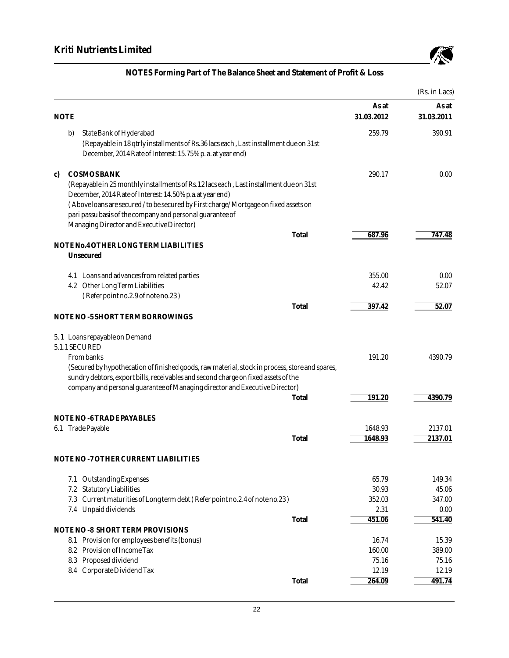

|                                                                                                                                                                                                                                                                                   |                 | (Rs. in Lacs)   |
|-----------------------------------------------------------------------------------------------------------------------------------------------------------------------------------------------------------------------------------------------------------------------------------|-----------------|-----------------|
|                                                                                                                                                                                                                                                                                   | As at           | As at           |
| <b>NOTE</b>                                                                                                                                                                                                                                                                       | 31.03.2012      | 31.03.2011      |
| b)<br>State Bank of Hyderabad                                                                                                                                                                                                                                                     | 259.79          | 390.91          |
| (Repayable in 18 qtrly installments of Rs.36 lacs each, Last installment due on 31st<br>December, 2014 Rate of Interest: 15.75% p. a. at year end)                                                                                                                                |                 |                 |
| <b>COSMOS BANK</b><br>C)<br>(Repayable in 25 monthly installments of Rs.12 lacs each, Last installment due on 31st<br>December, 2014 Rate of Interest: 14.50% p.a.at year end)<br>(Above loans are secured / to be secured by First charge/Mortgage on fixed assets on            | 290.17          | 0.00            |
| pari passu basis of the company and personal guarantee of<br>Managing Director and Executive Director)                                                                                                                                                                            |                 |                 |
| Total                                                                                                                                                                                                                                                                             | 687.96          | 747.48          |
| NOTE No.4 OTHER LONG TERM LIABILITIES<br>Unsecured                                                                                                                                                                                                                                |                 |                 |
| 4.1 Loans and advances from related parties                                                                                                                                                                                                                                       | 355.00          | 0.00            |
| 4.2 Other Long Term Liabilities                                                                                                                                                                                                                                                   | 42.42           | 52.07           |
| (Refer point no.2.9 of note no.23)                                                                                                                                                                                                                                                |                 |                 |
| Total<br>NOTE NO -5 SHORT TERM BORROWINGS                                                                                                                                                                                                                                         | 397.42          | 52.07           |
| 5.1 Loans repayable on Demand<br>5.1.1 SECURED                                                                                                                                                                                                                                    |                 |                 |
| From banks<br>(Secured by hypothecation of finished goods, raw material, stock in process, store and spares,<br>sundry debtors, export bills, receivables and second charge on fixed assets of the<br>company and personal guarantee of Managing director and Executive Director) | 191.20          | 4390.79         |
| Total                                                                                                                                                                                                                                                                             | 191.20          | 4390.79         |
| NOTENO-6TRADEPAYABLES                                                                                                                                                                                                                                                             |                 |                 |
| 6.1 Trade Payable                                                                                                                                                                                                                                                                 | 1648.93         | 2137.01         |
| Total                                                                                                                                                                                                                                                                             | 1648.93         | 2137.01         |
| NOTE NO - 7 OTHER CURRENT LIABILITIES                                                                                                                                                                                                                                             |                 |                 |
| 7.1 Outstanding Expenses                                                                                                                                                                                                                                                          | 65.79           | 149.34          |
| <b>Statutory Liabilities</b><br>7.2                                                                                                                                                                                                                                               | 30.93           | 45.06           |
| Current maturities of Long term debt (Refer point no.2.4 of note no.23)<br>7.3                                                                                                                                                                                                    | 352.03<br>2.31  | 347.00<br>0.00  |
| 7.4 Unpaid dividends<br>Total                                                                                                                                                                                                                                                     | 451.06          | 541.40          |
| NOTENO-8 SHORT TERM PROVISIONS                                                                                                                                                                                                                                                    |                 |                 |
| 8.1 Provision for employees benefits (bonus)                                                                                                                                                                                                                                      | 16.74           | 15.39           |
| 8.2 Provision of Income Tax                                                                                                                                                                                                                                                       | 160.00          | 389.00          |
| 8.3 Proposed dividend                                                                                                                                                                                                                                                             | 75.16           | 75.16           |
| 8.4 Corporate Dividend Tax<br>Total                                                                                                                                                                                                                                               | 12.19<br>264.09 | 12.19<br>491.74 |
|                                                                                                                                                                                                                                                                                   |                 |                 |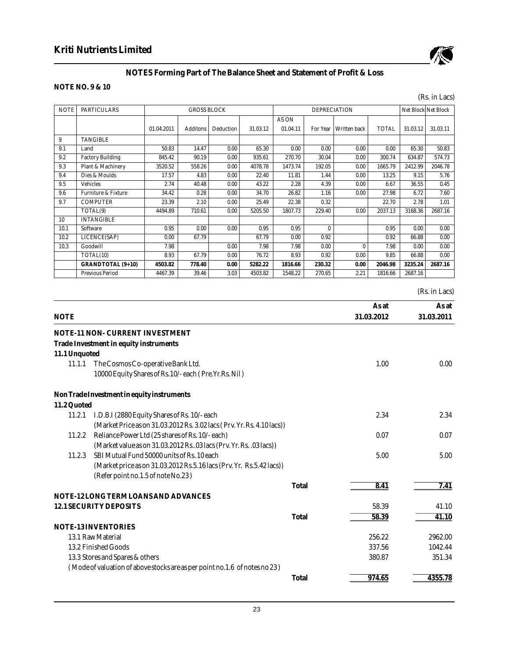

## **NOTE NO. 9 & 10**

|             |                                |            |                    |           |          |          |                     |                     |              |                     | (Rs. in Lacs) |
|-------------|--------------------------------|------------|--------------------|-----------|----------|----------|---------------------|---------------------|--------------|---------------------|---------------|
| <b>NOTE</b> | <b>PARTICULARS</b>             |            | <b>GROSS BLOCK</b> |           |          |          | <b>DEPRECIATION</b> |                     |              | Net Block Net Block |               |
|             |                                |            |                    |           |          | AS ON    |                     |                     |              |                     |               |
|             |                                | 01.04.2011 | <b>Additons</b>    | Deduction | 31.03.12 | 01.04.11 | For Year            | <b>Written</b> back | <b>TOTAL</b> | 31.03.12            | 31.03.11      |
| 9           | <b>TANGIBLE</b>                |            |                    |           |          |          |                     |                     |              |                     |               |
| 9.1         | Land                           | 50.83      | 14.47              | 0.00      | 65.30    | 0.00     | 0.00                | 0.00                | 0.00         | 65.30               | 50.83         |
| 9.2         | <b>Factory Building</b>        | 845.42     | 90.19              | 0.00      | 935.61   | 270.70   | 30.04               | 0.00                | 300.74       | 634.87              | 574.73        |
| 9.3         | Plant & Machinery              | 3520.52    | 558.26             | 0.00      | 4078.78  | 1473.74  | 192.05              | 0.00                | 1665.79      | 2412.99             | 2046.78       |
| 9.4         | Dies & Moulds                  | 17.57      | 4.83               | 0.00      | 22.40    | 11.81    | 1.44                | 0.00                | 13.25        | 9.15                | 5.76          |
| 9.5         | <b>Vehicles</b>                | 2.74       | 40.48              | 0.00      | 43.22    | 2.28     | 4.39                | 0.00                | 6.67         | 36.55               | 0.45          |
| 9.6         | <b>Furniture &amp; Fixture</b> | 34.42      | 0.28               | 0.00      | 34.70    | 26.82    | 1.16                | 0.00                | 27.98        | 6.72                | 7.60          |
| 9.7         | <b>COMPUTER</b>                | 23.39      | 2.10               | 0.00      | 25.49    | 22.38    | 0.32                |                     | 22.70        | 2.78                | 1.01          |
|             | TOTAL(9)                       | 4494.89    | 710.61             | 0.00      | 5205.50  | 1807.73  | 229.40              | 0.00                | 2037.13      | 3168.36             | 2687.16       |
| 10          | <b>INTANGIBLE</b>              |            |                    |           |          |          |                     |                     |              |                     |               |
| 10.1        | Software                       | 0.95       | 0.00               | 0.00      | 0.95     | 0.95     | $\mathbf{0}$        |                     | 0.95         | 0.00                | 0.00          |
| 10.2        | LICENCE(SAP)                   | 0.00       | 67.79              |           | 67.79    | 0.00     | 0.92                |                     | 0.92         | 66.88               | 0.00          |
| 10.3        | Goodwill                       | 7.98       |                    | 0.00      | 7.98     | 7.98     | 0.00                | $\bf{0}$            | 7.98         | 0.00                | 0.00          |
|             | TOTAL(10)                      | 8.93       | 67.79              | 0.00      | 76.72    | 8.93     | 0.92                | 0.00                | 9.85         | 66.88               | 0.00          |
|             | GRANDTOTAL (9+10)              | 4503.82    | 778.40             | 0.00      | 5282.22  | 1816.66  | 230.32              | 0.00                | 2046.98      | 3235.24             | 2687.16       |
|             | <b>Previous Period</b>         | 4467.39    | 39.46              | 3.03      | 4503.82  | 1548.22  | 270.65              | 2.21                | 1816.66      | 2687.16             |               |
|             |                                |            |                    |           |          |          |                     |                     |              |                     | (Rs. in Lacs) |
|             |                                |            |                    |           |          |          |                     |                     | As at        |                     | As at         |
| <b>NOTE</b> |                                |            |                    |           |          |          |                     |                     | 31.03.2012   |                     | 31.03.2011    |

|               | NOTE-11 NON- CURRENT INVESTMENT<br>Trade Investment in equity instruments  |       |        |         |
|---------------|----------------------------------------------------------------------------|-------|--------|---------|
| 11.1 Unquoted |                                                                            |       |        |         |
| 11.1.1        | The Cosmos Co-operative Bank Ltd.                                          |       | 1.00   | 0.00    |
|               | 10000 Equity Shares of Rs. 10/-each (Pre. Yr. Rs. Nil)                     |       |        |         |
|               | Non Trade Investment in equity instruments                                 |       |        |         |
| 11.2 Quoted   |                                                                            |       |        |         |
| 11.2.1        | I.D.B.I (2880 Equity Shares of Rs. 10/-each                                |       | 2.34   | 2.34    |
|               | (Market Price as on 31.03.2012 Rs. 3.02 lacs (Prv. Yr. Rs. 4.10 lacs))     |       |        |         |
| 11.2.2        | Reliance Power Ltd (25 shares of Rs. 10/-each)                             |       | 0.07   | 0.07    |
|               | (Market value as on 31.03.2012 Rs03 lacs (Prv. Yr. Rs. .03 lacs))          |       |        |         |
| 11.2.3        | SBI Mutual Fund 50000 units of Rs. 10 each                                 |       | 5.00   | 5.00    |
|               | (Market price as on 31.03.2012 Rs.5.16 lacs (Prv. Yr. Rs.5.42 lacs))       |       |        |         |
|               | (Refer point no.1.5 of note No.23)                                         |       |        |         |
|               |                                                                            | Total | 8.41   | 7.41    |
|               | NOTE-12 LONG TERM LOANS AND ADVANCES                                       |       |        |         |
|               | <b>12.1 SECURITY DEPOSITS</b>                                              |       | 58.39  | 41.10   |
|               |                                                                            | Total | 58.39  | 41.10   |
|               | <b>NOTE-13 INVENTORIES</b>                                                 |       |        |         |
|               | 13.1 Raw Material                                                          |       | 256.22 | 2962.00 |
|               | 13.2 Finished Goods                                                        |       | 337.56 | 1042.44 |
|               | 13.3 Stores and Spares & others                                            |       | 380.87 | 351.34  |
|               | (Mode of valuation of above stocks are as per point no.1.6 of notes no 23) |       |        |         |
|               |                                                                            | Total | 974.65 | 4355.78 |
|               |                                                                            |       |        |         |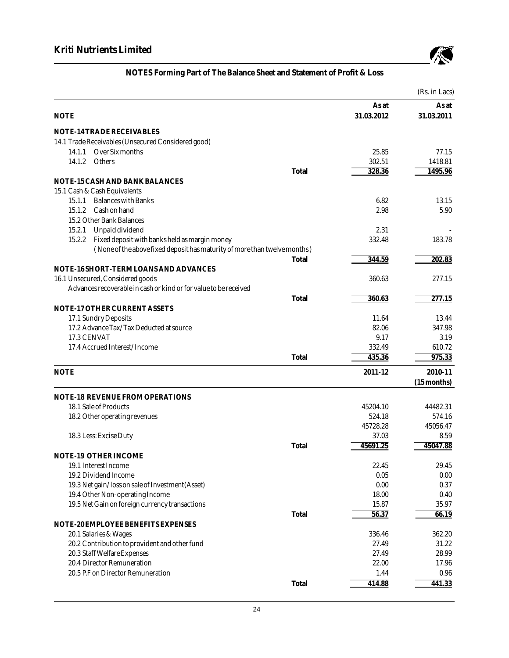

|             |                                                                           |       |            | (Rs. in Lacs) |
|-------------|---------------------------------------------------------------------------|-------|------------|---------------|
|             |                                                                           |       | As at      | As at         |
| <b>NOTE</b> |                                                                           |       | 31.03.2012 | 31.03.2011    |
|             | NOTE-14 TRADE RECEIVABLES                                                 |       |            |               |
|             | 14.1 Trade Receivables (Unsecured Considered good)                        |       |            |               |
| 14.1.1      | Over Six months                                                           |       | 25.85      | 77.15         |
| 14.1.2      | Others                                                                    |       | 302.51     | 1418.81       |
|             |                                                                           | Total | 328.36     | 1495.96       |
|             | NOTE-15 CASH AND BANK BALANCES                                            |       |            |               |
|             | 15.1 Cash & Cash Equivalents                                              |       |            |               |
| 15.1.1      | <b>Balances with Banks</b>                                                |       | 6.82       | 13.15         |
| 15.1.2      | Cash on hand                                                              |       | 2.98       | 5.90          |
|             | 15.2 Other Bank Balances                                                  |       |            |               |
| 15.2.1      | Unpaid dividend                                                           |       | 2.31       |               |
| 15.2.2      | Fixed deposit with banks held as margin money                             |       | 332.48     | 183.78        |
|             | (None of the above fixed deposit has maturity of more than twelve months) |       |            |               |
|             |                                                                           | Total | 344.59     | 202.83        |
|             | NOTE-16 SHORT-TERM LOANS AND ADVANCES                                     |       |            |               |
|             | 16.1 Unsecured, Considered goods                                          |       | 360.63     | 277.15        |
|             | Advances recoverable in cash or kind or for value to be received          |       |            |               |
|             |                                                                           | Total | 360.63     | 277.15        |
|             | NOTE-17 OTHER CURRENT ASSETS                                              |       |            |               |
|             | 17.1 Sundry Deposits                                                      |       | 11.64      | 13.44         |
|             | 17.2 Advance Tax/Tax Deducted at source                                   |       | 82.06      | 347.98        |
| 17.3 CENVAT |                                                                           |       | 9.17       | 3.19          |
|             | 17.4 Accrued Interest/Income                                              |       | 332.49     | 610.72        |
|             |                                                                           | Total | 435.36     | 975.33        |
| <b>NOTE</b> |                                                                           |       | 2011-12    | 2010-11       |
|             |                                                                           |       |            | $(15$ months) |
|             | <b>NOTE-18 REVENUE FROM OPERATIONS</b>                                    |       |            |               |
|             | 18.1 Sale of Products                                                     |       | 45204.10   | 44482.31      |
|             | 18.2 Other operating revenues                                             |       | 524.18     | 574.16        |
|             |                                                                           |       | 45728.28   | 45056.47      |
|             | 18.3 Less: Excise Duty                                                    |       | 37.03      | 8.59          |
|             |                                                                           | Total | 45691.25   | 45047.88      |
|             | NOTE-19 OTHER INCOME                                                      |       |            |               |
|             | 19.1 Interest Income                                                      |       | 22.45      | 29.45         |
|             | 19.2 Dividend Income                                                      |       | 0.05       | 0.00          |
|             | 19.3 Net gain/loss on sale of Investment (Asset)                          |       | 0.00       | 0.37          |
|             | 19.4 Other Non-operating Income                                           |       | 18.00      | 0.40          |
|             | 19.5 Net Gain on foreign currency transactions                            |       | 15.87      | 35.97         |
|             |                                                                           | Total | 56.37      | 66.19         |
|             | NOTE-20 EMPLOYEE BENEFITS EXPENSES                                        |       |            |               |
|             | 20.1 Salaries & Wages                                                     |       | 336.46     | 362.20        |
|             | 20.2 Contribution to provident and other fund                             |       | 27.49      | 31.22         |
|             | 20.3 Staff Welfare Expenses                                               |       | 27.49      | 28.99         |
|             | 20.4 Director Remuneration                                                |       | 22.00      | 17.96         |
|             | 20.5 P.F on Director Remuneration                                         |       | 1.44       | 0.96          |
|             |                                                                           | Total | 414.88     | 441.33        |
|             |                                                                           |       |            |               |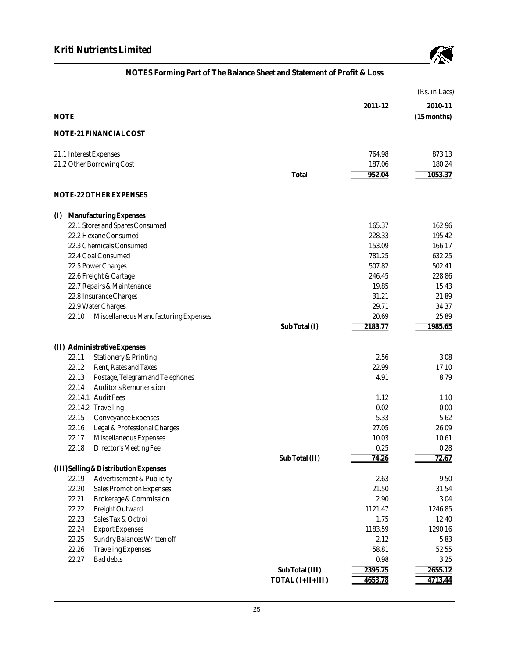

|             |                                       |                  |         | (Rs. in Lacs) |
|-------------|---------------------------------------|------------------|---------|---------------|
|             |                                       |                  | 2011-12 | 2010-11       |
| <b>NOTE</b> |                                       |                  |         | $(15$ months) |
|             | NOTE-21 FINANCIAL COST                |                  |         |               |
|             | 21.1 Interest Expenses                |                  | 764.98  | 873.13        |
|             | 21.2 Other Borrowing Cost             |                  | 187.06  | 180.24        |
|             |                                       | Total            | 952.04  | 1053.37       |
|             | NOTE-22 OTHER EXPENSES                |                  |         |               |
| (I)         | Manufacturing Expenses                |                  |         |               |
|             | 22.1 Stores and Spares Consumed       |                  | 165.37  | 162.96        |
|             | 22.2 Hexane Consumed                  |                  | 228.33  | 195.42        |
|             | 22.3 Chemicals Consumed               |                  | 153.09  | 166.17        |
|             | 22.4 Coal Consumed                    |                  | 781.25  | 632.25        |
|             | 22.5 Power Charges                    |                  | 507.82  | 502.41        |
|             | 22.6 Freight & Cartage                |                  | 246.45  | 228.86        |
|             | 22.7 Repairs & Maintenance            |                  | 19.85   | 15.43         |
|             | 22.8 Insurance Charges                |                  | 31.21   | 21.89         |
|             | 22.9 Water Charges                    |                  | 29.71   | 34.37         |
| 22.10       | Miscellaneous Manufacturing Expenses  |                  | 20.69   | 25.89         |
|             |                                       | Sub Total (I)    | 2183.77 | 1985.65       |
|             | (II) Administrative Expenses          |                  |         |               |
| 22.11       | <b>Stationery &amp; Printing</b>      |                  | 2.56    | 3.08          |
| 22.12       | Rent, Rates and Taxes                 |                  | 22.99   | 17.10         |
| 22.13       | Postage, Telegram and Telephones      |                  | 4.91    | 8.79          |
| 22.14       | <b>Auditor's Remuneration</b>         |                  |         |               |
|             | 22.14.1 Audit Fees                    |                  | 1.12    | 1.10          |
|             | 22.14.2 Travelling                    |                  | 0.02    | 0.00          |
| 22.15       | <b>Conveyance Expenses</b>            |                  | 5.33    | 5.62          |
| 22.16       | Legal & Professional Charges          |                  | 27.05   | 26.09         |
| 22.17       | Miscellaneous Expenses                |                  | 10.03   | 10.61         |
| 22.18       | Director's Meeting Fee                |                  | 0.25    | 0.28          |
|             |                                       | Sub Total (II)   | 74.26   | 72.67         |
|             | (III) Selling & Distribution Expenses |                  |         |               |
| 22.19       | <b>Advertisement &amp; Publicity</b>  |                  | 2.63    | 9.50          |
| 22.20       | <b>Sales Promotion Expenses</b>       |                  | 21.50   | 31.54         |
| 22.21       | <b>Brokerage &amp; Commission</b>     |                  | 2.90    | 3.04          |
| 22.22       | Freight Outward                       |                  | 1121.47 | 1246.85       |
| 22.23       | Sales Tax & Octroi                    |                  | 1.75    | 12.40         |
| 22.24       | <b>Export Expenses</b>                |                  | 1183.59 | 1290.16       |
| 22.25       | Sundry Balances Written off           |                  | 2.12    | 5.83          |
| 22.26       | <b>Traveling Expenses</b>             |                  | 58.81   | 52.55         |
| 22.27       | <b>Bad debts</b>                      |                  | 0.98    | 3.25          |
|             |                                       | Sub Total (III)  | 2395.75 | 2655.12       |
|             |                                       | TOTAL (I+II+III) | 4653.78 | 4713.44       |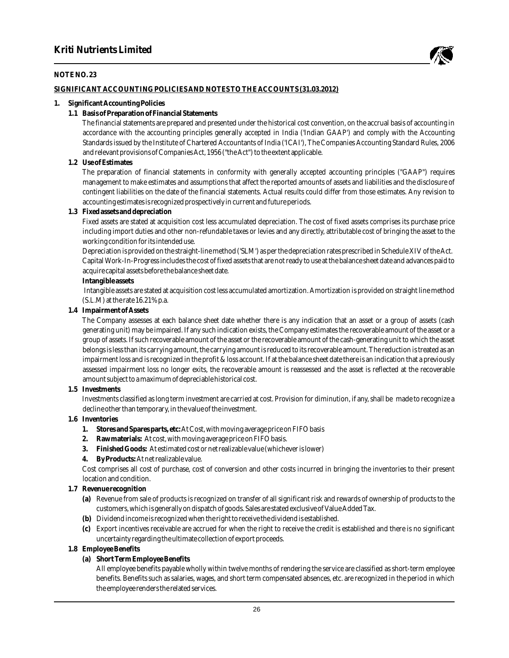

#### **NOTE NO. 23**

#### **SIGNIFICANT ACCOUNTING POLICIES AND NOTES TO THE ACCOUNTS (31.03.2012)**

#### **1. Significant Accounting Policies**

- **1.1 Basis of Preparation of Financial Statements**
	- The financial statements are prepared and presented under the historical cost convention, on the accrual basis of accounting in accordance with the accounting principles generally accepted in India ('Indian GAAP') and comply with the Accounting Standards issued by the Institute of Chartered Accountants of India ('ICAI'), The Companies Accounting Standard Rules, 2006 and relevant provisions of Companies Act, 1956 ("the Act") to the extent applicable.
- **1.2 Use of Estimates**

The preparation of financial statements in conformity with generally accepted accounting principles ("GAAP") requires management to make estimates and assumptions that affect the reported amounts of assets and liabilities and the disclosure of contingent liabilities on the date of the financial statements. Actual results could differ from those estimates. Any revision to accounting estimates is recognized prospectively in current and future periods.

**1.3 Fixed assets and depreciation**

Fixed assets are stated at acquisition cost less accumulated depreciation. The cost of fixed assets comprises its purchase price including import duties and other non-refundable taxes or levies and any directly, attributable cost of bringing the asset to the working condition for its intended use.

Depreciation is provided on the straight-line method ('SLM') as per the depreciation rates prescribed in Schedule XIV of the Act. Capital Work-In-Progress includes the cost of fixed assets that are not ready to use at the balance sheet date and advances paid to acquire capital assets before the balance sheet date.

**Intangible assets**

Intangible assets are stated at acquisition cost less accumulated amortization. Amortization is provided on straight line method (S.L.M) at the rate 16.21% p.a.

**1.4 Impairment of Assets**

The Company assesses at each balance sheet date whether there is any indication that an asset or a group of assets (cash generating unit) may be impaired. If any such indication exists, the Company estimates the recoverable amount of the asset or a group of assets. If such recoverable amount of the asset or the recoverable amount of the cash-generating unit to which the asset belongs is less than its carrying amount, the carrying amount is reduced to its recoverable amount. The reduction is treated as an impairment loss and is recognized in the profit & loss account. If at the balance sheet date there is an indication that a previously assessed impairment loss no longer exits, the recoverable amount is reassessed and the asset is reflected at the recoverable amount subject to a maximum of depreciable historical cost.

**1.5 Investments**

Investments classified as long term investment are carried at cost. Provision for diminution, if any, shall be made to recognize a decline other than temporary, in the value of the investment.

- **1.6 Inventories**
	- **1. Stores and Spares parts, etc:** At Cost, with moving average price on FIFO basis
	- **2. Raw materials:** At cost, with moving average price on FIFO basis.
	- **3. Finished Goods:** At estimated cost or net realizable value (whichever is lower)
	- **4. By Products:**At net realizable value.

Cost comprises all cost of purchase, cost of conversion and other costs incurred in bringing the inventories to their present location and condition.

- **1.7 Revenue recognition**
	- **(a)** Revenue from sale of products is recognized on transfer of all significant risk and rewards of ownership of products to the customers, which is generally on dispatch of goods. Sales are stated exclusive of Value Added Tax.
	- **(b)** Dividend income is recognized when the right to receive the dividend is established.
	- **(c)** Export incentives receivable are accrued for when the right to receive the credit is established and there is no significant uncertainty regarding the ultimate collection of export proceeds.
- **1.8 Employee Benefits**
	- **(a) Short Term Employee Benefits**

All employee benefits payable wholly within twelve months of rendering the service are classified as short-term employee benefits. Benefits such as salaries, wages, and short term compensated absences, etc. are recognized in the period in which the employee renders the related services.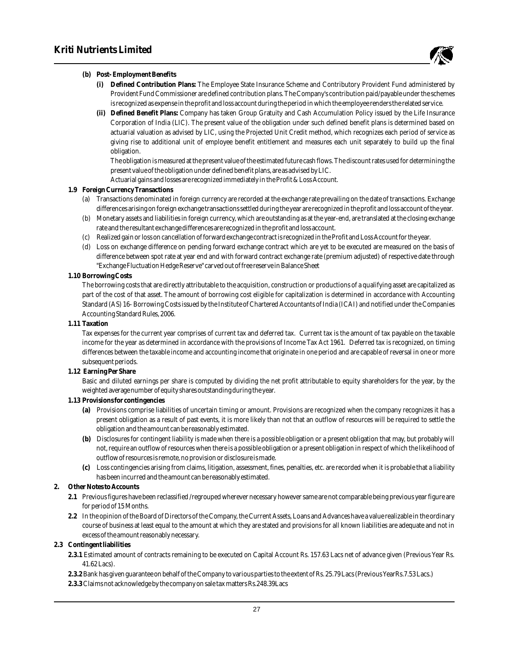

- **(b) Post- Employment Benefits**
	- **(i) Defined Contribution Plans:** The Employee State Insurance Scheme and Contributory Provident Fund administered by Provident Fund Commissioner are defined contribution plans. The Company's contribution paid/payable under the schemes is recognized as expense in the profit and loss account during the period in which the employee renders the related service.
	- **(ii) Defined Benefit Plans:** Company has taken Group Gratuity and Cash Accumulation Policy issued by the Life Insurance Corporation of India (LIC). The present value of the obligation under such defined benefit plans is determined based on actuarial valuation as advised by LIC, using the Projected Unit Credit method, which recognizes each period of service as giving rise to additional unit of employee benefit entitlement and measures each unit separately to build up the final obligation.

The obligation is measured at the present value of the estimated future cash flows. The discount rates used for determining the present value of the obligation under defined benefit plans, are as advised by LIC.

Actuarial gains and losses are recognized immediately in the Profit & Loss Account.

- **1.9 Foreign Currency Transactions**
	- (a) Transactions denominated in foreign currency are recorded at the exchange rate prevailing on the date of transactions. Exchange differences arising on foreign exchange transactions settled during the year are recognized in the profit and loss account of the year.
	- (b) Monetary assets and liabilities in foreign currency, which are outstanding as at the year-end, are translated at the closing exchange rate and the resultant exchange differences are recognized in the profit and loss account.
	- (c) Realized gain or loss on cancellation of forward exchange contract is recognized in the Profit and Loss Account for the year.
	- (d) Loss on exchange difference on pending forward exchange contract which are yet to be executed are measured on the basis of difference between spot rate at year end and with forward contract exchange rate (premium adjusted) of respective date through "Exchange Fluctuation Hedge Reserve" carved out of free reserve in Balance Sheet
- **1.10 Borrowing Costs**

The borrowing costs that are directly attributable to the acquisition, construction or productions of a qualifying asset are capitalized as part of the cost of that asset. The amount of borrowing cost eligible for capitalization is determined in accordance with Accounting Standard (AS) 16- Borrowing Costs issued by the Institute of Chartered Accountants of India (ICAI) and notified under the Companies Accounting Standard Rules, 2006.

**1.11 Taxation**

Tax expenses for the current year comprises of current tax and deferred tax. Current tax is the amount of tax payable on the taxable income for the year as determined in accordance with the provisions of Income Tax Act 1961. Deferred tax is recognized, on timing differences between the taxable income and accounting income that originate in one period and are capable of reversal in one or more subsequent periods.

**1.12 Earning Per Share**

Basic and diluted earnings per share is computed by dividing the net profit attributable to equity shareholders for the year, by the weighted average number of equity shares outstanding during the year.

- **1.13 Provisions for contingencies**
	- **(a)** Provisions comprise liabilities of uncertain timing or amount. Provisions are recognized when the company recognizes it has a present obligation as a result of past events, it is more likely than not that an outflow of resources will be required to settle the obligation and the amount can be reasonably estimated.
	- **(b)** Disclosures for contingent liability is made when there is a possible obligation or a present obligation that may, but probably will not, require an outflow of resources when there is a possible obligation or a present obligation in respect of which the likelihood of outflow of resources is remote, no provision or disclosure is made.
	- **(c)** Loss contingencies arising from claims, litigation, assessment, fines, penalties, etc. are recorded when it is probable that a liability has been incurred and the amount can be reasonably estimated.
- **2. Other Notes to Accounts**
	- **2.1** Previous figures have been reclassified /regrouped wherever necessary however same are not comparable being previous year figure are for period of 15 Months.
	- **2.2** In the opinion of the Board of Directors of the Company, the Current Assets, Loans and Advances have a value realizable in the ordinary course of business at least equal to the amount at which they are stated and provisions for all known liabilities are adequate and not in excess of the amount reasonably necessary.
- **2.3 Contingent liabilities**
	- **2.3.1** Estimated amount of contracts remaining to be executed on Capital Account Rs. 157.63 Lacs net of advance given (Previous Year Rs. 41.62 Lacs).
	- **2.3.2** Bank has given guarantee on behalf of the Company to various parties to the extent of Rs. 25.79 Lacs (Previous YearRs.7.53 Lacs.)
	- **2.3.3** Claims not acknowledge by the company on sale tax matters Rs.248.39Lacs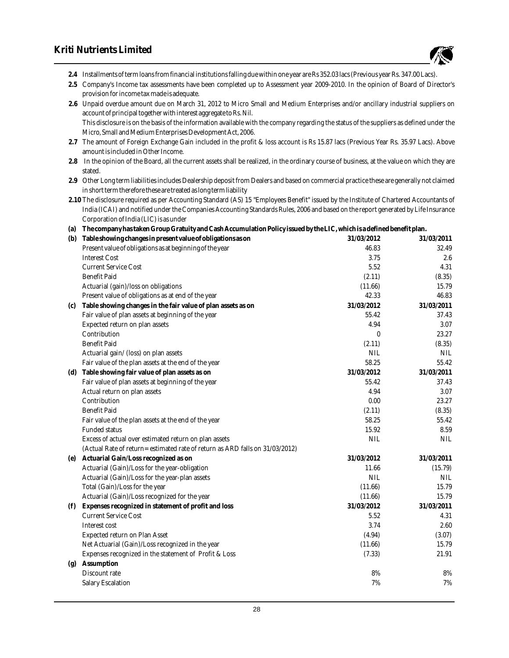# **Kriti Nutrients Limited**



**2.4** Installments of term loans from financial institutions falling due within one year are Rs 352.03 lacs (Previous year Rs. 347.00 Lacs).

**2.5** Company's Income tax assessments have been completed up to Assessment year 2009-2010. In the opinion of Board of Director's provision for income tax made is adequate.

**2.6** Unpaid overdue amount due on March 31, 2012 to Micro Small and Medium Enterprises and/or ancillary industrial suppliers on account of principal together with interest aggregate to Rs. Nil. This disclosure is on the basis of the information available with the company regarding the status of the suppliers as defined under the Micro, Small and Medium Enterprises Development Act, 2006.

- **2.7** The amount of Foreign Exchange Gain included in the profit & loss account is Rs 15.87 lacs (Previous Year Rs. 35.97 Lacs). Above amount is included in Other Income.
- **2.8** In the opinion of the Board, all the current assets shall be realized, in the ordinary course of business, at the value on which they are stated.

**2.9** Other Long term liabilities includes Dealership deposit from Dealers and based on commercial practice these are generally not claimed in short term therefore these are treated as long term liability

**2.10** The disclosure required as per Accounting Standard (AS) 15 "Employees Benefit" issued by the Institute of Chartered Accountants of India (ICAI) and notified under the Companies Accounting Standards Rules, 2006 and based on the report generated by Life Insurance Corporation of India (LIC) is as under

**(a) The company has taken Group Gratuity and Cash Accumulation Policy issued by the LIC, which is a defined benefit plan.**

|     | (b) Table showing changes in present value of obligations as on              | 31/03/2012 | 31/03/2011 |
|-----|------------------------------------------------------------------------------|------------|------------|
|     | Present value of obligations as at beginning of the year                     | 46.83      | 32.49      |
|     | <b>Interest Cost</b>                                                         | 3.75       | 2.6        |
|     | <b>Current Service Cost</b>                                                  | 5.52       | 4.31       |
|     | <b>Benefit Paid</b>                                                          | (2.11)     | (8.35)     |
|     | Actuarial (gain)/loss on obligations                                         | (11.66)    | 15.79      |
|     | Present value of obligations as at end of the year                           | 42.33      | 46.83      |
| (c) | Table showing changes in the fair value of plan assets as on                 | 31/03/2012 | 31/03/2011 |
|     | Fair value of plan assets at beginning of the year                           | 55.42      | 37.43      |
|     | Expected return on plan assets                                               | 4.94       | 3.07       |
|     | Contribution                                                                 | 0          | 23.27      |
|     | <b>Benefit Paid</b>                                                          | (2.11)     | (8.35)     |
|     | Actuarial gain/ (loss) on plan assets                                        | <b>NIL</b> | <b>NIL</b> |
|     | Fair value of the plan assets at the end of the year                         | 58.25      | 55.42      |
| (d) | Table showing fair value of plan assets as on                                | 31/03/2012 | 31/03/2011 |
|     | Fair value of plan assets at beginning of the year                           | 55.42      | 37.43      |
|     | Actual return on plan assets                                                 | 4.94       | 3.07       |
|     | Contribution                                                                 | 0.00       | 23.27      |
|     | <b>Benefit Paid</b>                                                          | (2.11)     | (8.35)     |
|     | Fair value of the plan assets at the end of the year                         | 58.25      | 55.42      |
|     | <b>Funded status</b>                                                         | 15.92      | 8.59       |
|     | Excess of actual over estimated return on plan assets                        | <b>NIL</b> | <b>NIL</b> |
|     | (Actual Rate of return= estimated rate of return as ARD falls on 31/03/2012) |            |            |
| (e) | Actuarial Gain/Loss recognized as on                                         | 31/03/2012 | 31/03/2011 |
|     | Actuarial (Gain)/Loss for the year-obligation                                | 11.66      | (15.79)    |
|     | Actuarial (Gain)/Loss for the year-plan assets                               | <b>NIL</b> | <b>NIL</b> |
|     | Total (Gain)/Loss for the year                                               | (11.66)    | 15.79      |
|     | Actuarial (Gain)/Loss recognized for the year                                | (11.66)    | 15.79      |
| (f) | Expenses recognized in statement of profit and loss                          | 31/03/2012 | 31/03/2011 |
|     | <b>Current Service Cost</b>                                                  | 5.52       | 4.31       |
|     | Interest cost                                                                | 3.74       | 2.60       |
|     | <b>Expected return on Plan Asset</b>                                         | (4.94)     | (3.07)     |
|     | Net Actuarial (Gain)/Loss recognized in the year                             | (11.66)    | 15.79      |
|     | Expenses recognized in the statement of Profit & Loss                        | (7.33)     | 21.91      |
| (g) | Assumption                                                                   |            |            |
|     | Discount rate                                                                | 8%         | 8%         |
|     | <b>Salary Escalation</b>                                                     | 7%         | 7%         |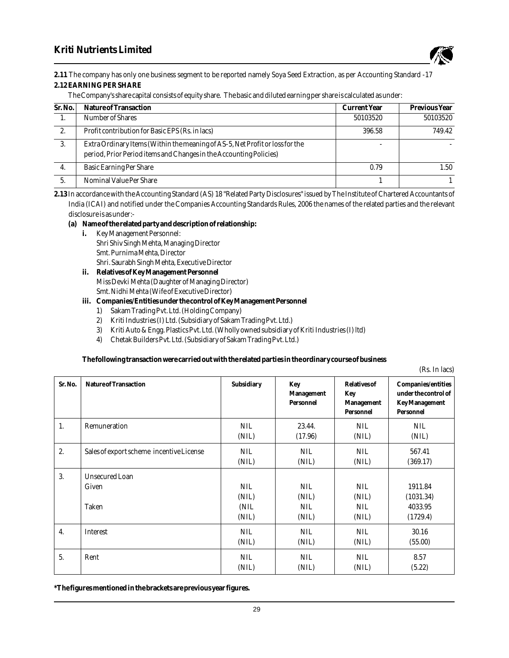

**2.11** The company has only one business segment to be reported namely Soya Seed Extraction, as per Accounting Standard -17 **2.12EARNING PER SHARE**

#### The Company's share capital consists of equity share. The basic and diluted earning per share is calculated as under:

| Sr. No. | Nature of Transaction                                                                                                                              | <b>Current Year</b> | <b>Previous Year</b> |
|---------|----------------------------------------------------------------------------------------------------------------------------------------------------|---------------------|----------------------|
|         | Number of Shares                                                                                                                                   | 50103520            | 50103520             |
| 2.      | Profit contribution for Basic EPS (Rs. in lacs)                                                                                                    | 396.58              | 749.42               |
| 3.      | Extra Ordinary Items (Within the meaning of AS-5, Net Profit or loss for the<br>period, Prior Period items and Changes in the Accounting Policies) |                     |                      |
| 4.      | <b>Basic Earning Per Share</b>                                                                                                                     | 0.79                | 1.50                 |
|         | Nominal Value Per Share                                                                                                                            |                     |                      |

**2.13** In accordance with the Accounting Standard (AS) 18 "Related Party Disclosures" issued by The Institute of Chartered Accountants of India (ICAI) and notified under the Companies Accounting Standards Rules, 2006 the names of the related parties and the relevant disclosure is as under:-

- **(a) Name of the related party and description of relationship:**
	- **i.** Key Management Personnel: Shri Shiv Singh Mehta, Managing Director Smt. Purnima Mehta, Director Shri. Saurabh Singh Mehta, Executive Director
	- **ii. Relatives of Key Management Personnel** Miss Devki Mehta (Daughter of Managing Director) Smt. Nidhi Mehta (Wife of Executive Director)
	- **iii. Companies/Entities under the control of Key Management Personnel**
		- 1) Sakam Trading Pvt. Ltd. (Holding Company)
		- 2) Kriti Industries (I) Ltd. (Subsidiary of Sakam Trading Pvt. Ltd.)
		- 3) Kriti Auto & Engg. Plastics Pvt. Ltd. (Wholly owned subsidiary of Kriti Industries (I) ltd)
		- 4) Chetak Builders Pvt. Ltd. (Subsidiary of Sakam Trading Pvt. Ltd.)

**The following transaction were carried out with the related parties in the ordinary course of business** 

(Rs. In lacs)

|         |                                          |                                      |                                            |                                                | $\frac{1}{2}$                                                             |
|---------|------------------------------------------|--------------------------------------|--------------------------------------------|------------------------------------------------|---------------------------------------------------------------------------|
| Sr. No. | Nature of Transaction                    | Subsidiary                           | Key<br>Management<br>Personnel             | Relatives of<br>Key<br>Management<br>Personnel | Companies/entities<br>under the control of<br>Key Management<br>Personnel |
| 1.      | Remuneration                             | <b>NIL</b><br>(NIL)                  | 23.44.<br>(17.96)                          | <b>NIL</b><br>(NIL)                            | <b>NIL</b><br>(NIL)                                                       |
| 2.      | Sales of export scheme incentive License | <b>NIL</b><br>(NIL)                  | <b>NIL</b><br>(NIL)                        | <b>NIL</b><br>(NIL)                            | 567.41<br>(369.17)                                                        |
| 3.      | <b>Unsecured Loan</b><br>Given<br>Taken  | <b>NIL</b><br>(NIL)<br>(NIL<br>(NIL) | <b>NIL</b><br>(NIL)<br><b>NIL</b><br>(NIL) | <b>NIL</b><br>(NIL)<br><b>NIL</b><br>(NIL)     | 1911.84<br>(1031.34)<br>4033.95<br>(1729.4)                               |
| 4.      | <b>Interest</b>                          | <b>NIL</b><br>(NIL)                  | <b>NIL</b><br>(NIL)                        | NIL.<br>(NIL)                                  | 30.16<br>(55.00)                                                          |
| 5.      | Rent                                     | <b>NIL</b><br>(NIL)                  | <b>NIL</b><br>(NIL)                        | <b>NIL</b><br>(NIL)                            | 8.57<br>(5.22)                                                            |

**\*The figures mentioned in the brackets are previous year figures.**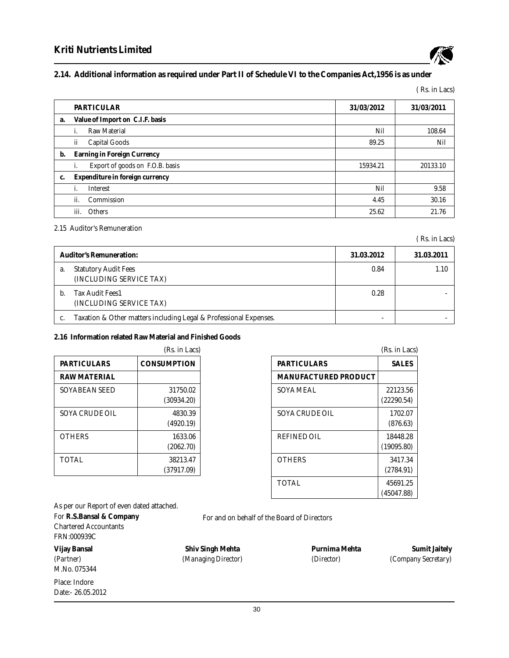

### **2.14. Additional information as required under Part II of Schedule VI to the Companies Act,1956 is as under**

( Rs. in Lacs)

|    | <b>PARTICULAR</b>                     | 31/03/2012 | 31/03/2011 |
|----|---------------------------------------|------------|------------|
| a. | Value of Import on C.I.F. basis       |            |            |
|    | <b>Raw Material</b>                   | Nil        | 108.64     |
|    | <b>Capital Goods</b><br>ii            | 89.25      | Nil        |
| b. | Earning in Foreign Currency           |            |            |
|    | Export of goods on F.O.B. basis<br>i. | 15934.21   | 20133.10   |
| c. | Expenditure in foreign currency       |            |            |
|    | <b>Interest</b>                       | Nil        | 9.58       |
|    | ii.<br>Commission                     | 4.45       | 30.16      |
|    | <b>Others</b><br>iii.                 | 25.62      | 21.76      |

#### 2.15 Auditor's Remuneration

( Rs. in Lacs)

|    | <b>Auditor's Remuneration:</b>                                    | 31.03.2012 | 31.03.2011 |
|----|-------------------------------------------------------------------|------------|------------|
| a. | <b>Statutory Audit Fees</b><br>(INCLUDING SERVICE TAX)            | 0.84       | 1.10       |
|    | <b>Tax Audit Fees1</b><br>(INCLUDING SERVICE TAX)                 | 0.28       |            |
|    | Taxation & Other matters including Legal & Professional Expenses. | -          |            |

#### **2.16 Information related Raw Material and Finished Goods**

|                       | (Rs. in Lacs)          |
|-----------------------|------------------------|
| PARTICULARS           | <b>CONSUMPTION</b>     |
| <b>RAW MATERIAL</b>   |                        |
| <b>SOYABEAN SEED</b>  | 31750.02<br>(30934.20) |
| <b>SOYA CRUDE OIL</b> | 4830.39<br>(4920.19)   |
| <b>OTHERS</b>         | 1633.06<br>(2062.70)   |
| <b>TOTAL</b>          | 38213.47<br>(37917.09) |

|                      | (Rs. in Lacs)          |
|----------------------|------------------------|
| <b>PARTICULARS</b>   | <b>SALES</b>           |
| MANUFACTURED PRODUCT |                        |
| SOYA MEAL            | 22123.56<br>(22290.54) |
| SOYA CRUDE OIL       | 1702.07<br>(876.63)    |
| <b>REFINED OIL</b>   | 18448.28<br>(19095.80) |
| <b>OTHERS</b>        | 3417.34<br>(2784.91)   |
| <b>TOTAL</b>         | 45691.25<br>(45047.88) |

As per our Report of even dated attached.

For **R.S.Bansal & Company** Chartered Accountants FRN:000939C

M.No. 075344

Place: Indore Date:- 26.05.2012 For and on behalf of the Board of Directors

**Vijay Bansal Shiv Singh Mehta Purnima Mehta Sumit Jaitely**

*(Partner) (Managing Director) (Director) (Company Secretary)*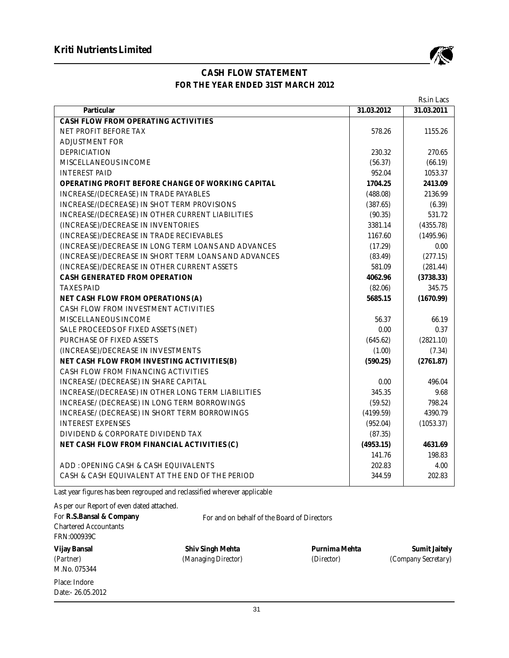

# **CASH FLOW STATEMENT FOR THE YEAR ENDED 31ST MARCH 2012**

|                                                      |            | Rs.in Lacs |
|------------------------------------------------------|------------|------------|
| Particular                                           | 31.03.2012 | 31.03.2011 |
| CASH FLOW FROM OPERATING ACTIVITIES                  |            |            |
| NET PROFIT BEFORE TAX                                | 578.26     | 1155.26    |
| <b>ADJUSTMENT FOR</b>                                |            |            |
| <b>DEPRICIATION</b>                                  | 230.32     | 270.65     |
| MISCELLANEOUS INCOME                                 | (56.37)    | (66.19)    |
| <b>INTEREST PAID</b>                                 | 952.04     | 1053.37    |
| OPERATING PROFIT BEFORE CHANGE OF WORKING CAPITAL    | 1704.25    | 2413.09    |
| <b>INCREASE/(DECREASE) IN TRADE PAYABLES</b>         | (488.08)   | 2136.99    |
| INCREASE/(DECREASE) IN SHOT TERM PROVISIONS          | (387.65)   | (6.39)     |
| INCREASE/(DECREASE) IN OTHER CURRENT LIABILITIES     | (90.35)    | 531.72     |
| (INCREASE)/DECREASE IN INVENTORIES                   | 3381.14    | (4355.78)  |
| (INCREASE)/DECREASE IN TRADE RECIEVABLES             | 1167.60    | (1495.96)  |
| (INCREASE)/DECREASE IN LONG TERM LOANS AND ADVANCES  | (17.29)    | 0.00       |
| (INCREASE)/DECREASE IN SHORT TERM LOANS AND ADVANCES | (83.49)    | (277.15)   |
| (INCREASE)/DECREASE IN OTHER CURRENT ASSETS          | 581.09     | (281.44)   |
| CASH GENERATED FROM OPERATION                        | 4062.96    | (3738.33)  |
| <b>TAXES PAID</b>                                    | (82.06)    | 345.75     |
| NET CASH FLOW FROM OPERATIONS (A)                    | 5685.15    | (1670.99)  |
| CASH FLOW FROM INVESTMENT ACTIVITIES                 |            |            |
| MISCELLANEOUS INCOME                                 | 56.37      | 66.19      |
| SALE PROCEEDS OF FIXED ASSETS (NET)                  | 0.00       | 0.37       |
| PURCHASE OF FIXED ASSETS                             | (645.62)   | (2821.10)  |
| (INCREASE)/DECREASE IN INVESTMENTS                   | (1.00)     | (7.34)     |
| NET CASH FLOW FROM INVESTING ACTIVITIES(B)           | (590.25)   | (2761.87)  |
| CASH FLOW FROM FINANCING ACTIVITIES                  |            |            |
| INCREASE/ (DECREASE) IN SHARE CAPITAL                | 0.00       | 496.04     |
| INCREASE/(DECREASE) IN OTHER LONG TERM LIABILITIES   | 345.35     | 9.68       |
| INCREASE/ (DECREASE) IN LONG TERM BORROWINGS         | (59.52)    | 798.24     |
| INCREASE/ (DECREASE) IN SHORT TERM BORROWINGS        | (4199.59)  | 4390.79    |
| <b>INTEREST EXPENSES</b>                             | (952.04)   | (1053.37)  |
| DIVIDEND & CORPORATE DIVIDEND TAX                    | (87.35)    |            |
| NET CASH FLOW FROM FINANCIAL ACTIVITIES (C)          | (4953.15)  | 4631.69    |
|                                                      | 141.76     | 198.83     |
| ADD: OPENING CASH & CASH EQUIVALENTS                 | 202.83     | 4.00       |
| CASH & CASH EQUIVALENT AT THE END OF THE PERIOD      | 344.59     | 202.83     |

Last year figures has been regrouped and reclassified wherever applicable

| As per our Report of even dated attached.<br>For R.S.Bansal & Company<br><b>Chartered Accountants</b><br>FRN:000939C | For and on behalf of the Board of Directors |                             |                                             |
|----------------------------------------------------------------------------------------------------------------------|---------------------------------------------|-----------------------------|---------------------------------------------|
| Vijay Bansal<br>(Partner)<br>M.No. 075344                                                                            | Shiv Singh Mehta<br>(Managing Director)     | Purnima Mehta<br>(Director) | <b>Sumit Jaitely</b><br>(Company Secretary) |
| Place: Indore<br>Date:- 26.05.2012                                                                                   |                                             |                             |                                             |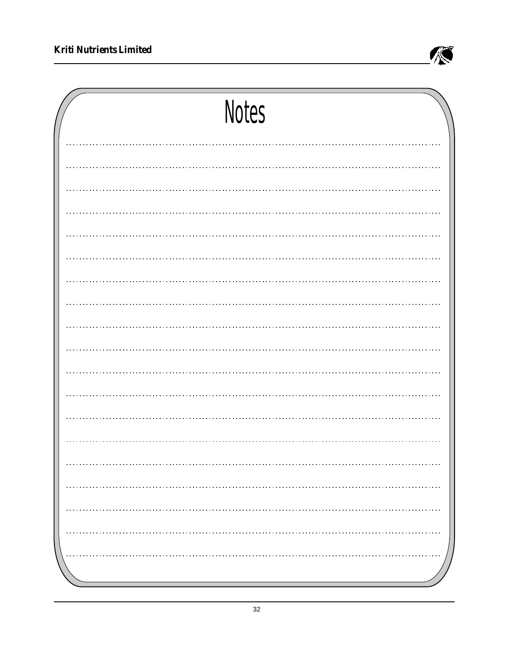

| <b>Notes</b>  |
|---------------|
|               |
|               |
|               |
|               |
|               |
|               |
|               |
|               |
|               |
|               |
|               |
|               |
|               |
|               |
|               |
| .<br>.        |
| $\cdots$<br>. |
|               |
|               |
|               |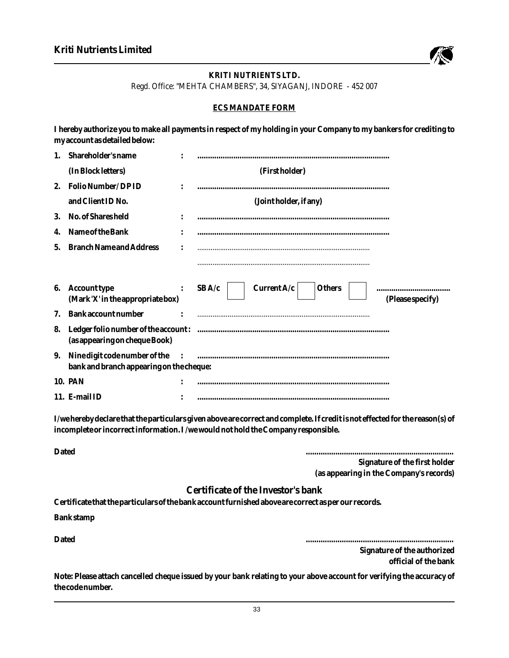

# **KRITI NUTRIENTS LTD.** Regd. Office: "MEHTA CHAMBERS", 34, SIYAGANJ, INDORE - 452 007

### **ECS MANDATE FORM**

**I hereby authorize you to make all payments in respect of my holding in your Company to my bankers for crediting to my account as detailed below:** 

| $1_{-}$ | Shareholder's name                                                        |              |                                                             |
|---------|---------------------------------------------------------------------------|--------------|-------------------------------------------------------------|
|         | (In Block letters)                                                        |              | (First holder)                                              |
| 2.      | Folio Number/DPID                                                         |              |                                                             |
|         | and Client ID No.                                                         |              | (Joint holder, if any)                                      |
| 3.      | No. of Shares held                                                        |              |                                                             |
| 4.      | Name of the Bank                                                          |              |                                                             |
| 5.      | <b>Branch Name and Address</b>                                            |              |                                                             |
|         |                                                                           |              |                                                             |
| 6.      | Account type<br>(Mark 'X' in the appropriate box)                         |              | Current $A/c$<br>SBA/c<br><b>Others</b><br>(Please specify) |
| 7.      | Bank account number                                                       |              |                                                             |
| 8.      | Ledger folio number of the account:<br>(as appearing on cheque Book)      |              |                                                             |
| 9.      | Nine digit code number of the<br>bank and branch appearing on the cheque: | $\mathbf{I}$ |                                                             |
|         | 10. PAN                                                                   |              |                                                             |
|         | 11. E-mail ID                                                             |              |                                                             |

**I/we hereby declare that the particulars given above are correct and complete. If credit is not effected for the reason(s) of incomplete or incorrect information. I /we would not hold the Company responsible.** 

**Dated ...................................................................... Signature of the first holder (as appearing in the Company's records)**

# **Certificate of the Investor's bank**

**Certificate that the particulars of the bank account furnished above are correct as per our records.**

**Bank stamp**

**Dated ......................................................................**

**Signature of the authorized official of the bank**

**Note: Please attach cancelled cheque issued by your bank relating to your above account for verifying the accuracy of the code number.**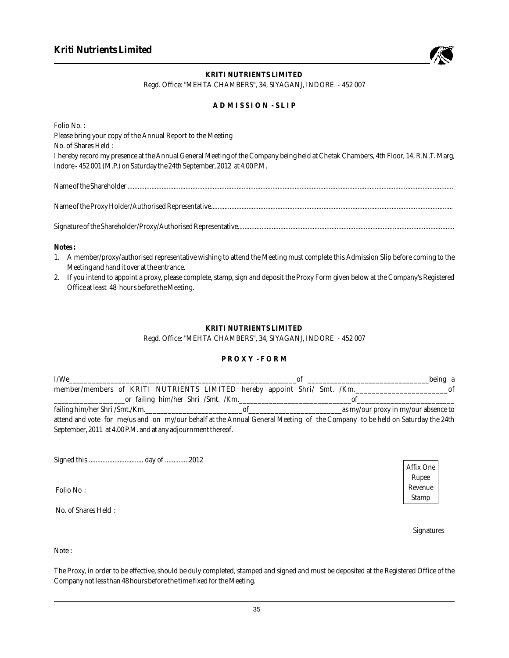

### **KRITI NUTRIENTS LIMITED** Regd. Office: "MEHTA CHAMBERS", 34, SIYAGANJ, INDORE - 452 007

### **A D M I S S I O N - S L I P**

| Folio No.:                                                                                                                          |
|-------------------------------------------------------------------------------------------------------------------------------------|
| Please bring your copy of the Annual Report to the Meeting                                                                          |
| No. of Shares Held:                                                                                                                 |
| I hereby record my presence at the Annual General Meeting of the Company being held at Chetak Chambers, 4th Floor, 14, R.N.T. Marg, |
| Indore - 452 001 (M.P.) on Saturday the 24th September, 2012 at 4.00 P.M.                                                           |
| Name of the Shareholder                                                                                                             |
|                                                                                                                                     |

Signature of the Shareholder/Proxy/Authorised Representative...............................................................................................................................

**Notes :**

- 1. A member/proxy/authorised representative wishing to attend the Meeting must complete this Admission Slip before coming to the Meeting and hand it over at the entrance.
- 2. If you intend to appoint a proxy, please complete, stamp, sign and deposit the Proxy Form given below at the Company's Registered Office at least 48 hours before the Meeting.

#### **KRITI NUTRIENTS LIMITED**

#### Regd. Office: "MEHTA CHAMBERS", 34, SIYAGANJ, INDORE - 452 007

#### **P R O X Y - F O R M**

| I/We                                                                                                                        | Ωt                                 | being a                              |
|-----------------------------------------------------------------------------------------------------------------------------|------------------------------------|--------------------------------------|
| member/members of KRITI NUTRIENTS LIMITED hereby appoint Shri/ Smt. /Km.                                                    |                                    | of                                   |
|                                                                                                                             | or failing him/her Shri /Smt. /Km. | of                                   |
| failing him/her Shri /Smt./Km.                                                                                              |                                    | as my/our proxy in my/our absence to |
| attend and vote for me/us and on my/our behalf at the Annual General Meeting of the Company to be held on Saturday the 24th |                                    |                                      |
| September, 2011 at 4.00 P.M. and at any adjournment thereof.                                                                |                                    |                                      |

Signed this ................................ day of ..............2012

Folio No :

No. of Shares Held :

*Affix One Rupee Revenue Stamp*

Signatures

Note :

The Proxy, in order to be effective, should be duly completed, stamped and signed and must be deposited at the Registered Office of the Company not less than 48 hours before the time fixed for the Meeting.